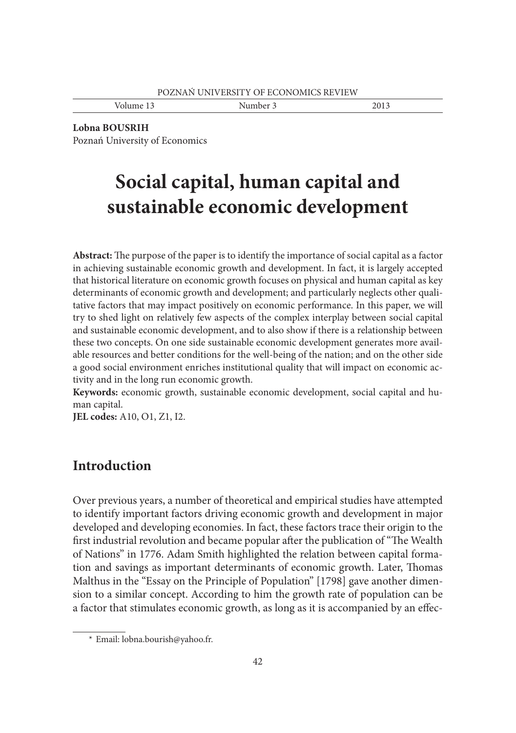Volume 13 Number 3 2013

**Lobna BOUSRIH** Poznań University of Economics

# **Social capital, human capital and sustainable economic development**

Abstract: The purpose of the paper is to identify the importance of social capital as a factor in achieving sustainable economic growth and development. In fact, it is largely accepted that historical literature on economic growth focuses on physical and human capital as key determinants of economic growth and development; and particularly neglects other qualitative factors that may impact positively on economic performance. In this paper, we will try to shed light on relatively few aspects of the complex interplay between social capital and sustainable economic development, and to also show if there is a relationship between these two concepts. On one side sustainable economic development generates more available resources and better conditions for the well-being of the nation; and on the other side a good social environment enriches institutional quality that will impact on economic activity and in the long run economic growth.

**Keywords:** economic growth, sustainable economic development, social capital and human capital.

**JEL codes:** A10, O1, Z1, I2.

# **Introduction**

Over previous years, a number of theoretical and empirical studies have attempted to identify important factors driving economic growth and development in major developed and developing economies. In fact, these factors trace their origin to the first industrial revolution and became popular after the publication of "The Wealth" of Nations" in 1776. Adam Smith highlighted the relation between capital formation and savings as important determinants of economic growth. Later, Thomas Malthus in the "Essay on the Principle of Population" [1798] gave another dimension to a similar concept. According to him the growth rate of population can be a factor that stimulates economic growth, as long as it is accompanied by an effec-

 <sup>\*</sup> Email: lobna.bourish@yahoo.fr.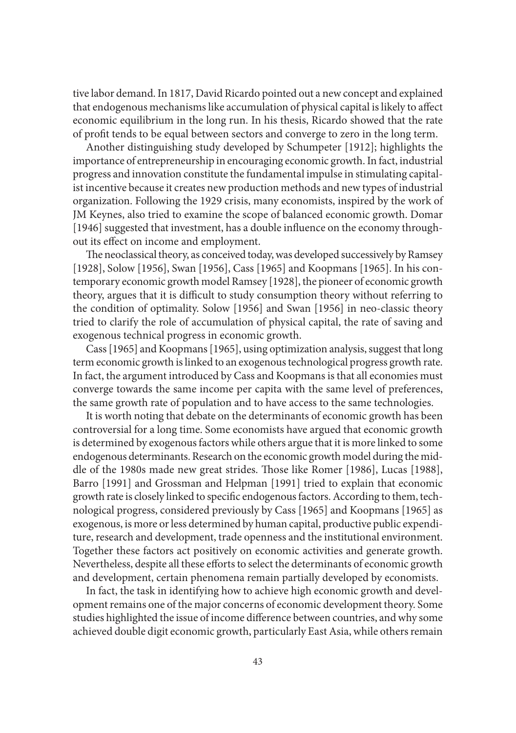tive labor demand. In 1817, David Ricardo pointed out a new concept and explained that endogenous mechanisms like accumulation of physical capital is likely to affect economic equilibrium in the long run. In his thesis, Ricardo showed that the rate of profit tends to be equal between sectors and converge to zero in the long term.

Another distinguishing study developed by Schumpeter [1912]; highlights the importance of entrepreneurship in encouraging economic growth. In fact, industrial progress and innovation constitute the fundamental impulse in stimulating capitalist incentive because it creates new production methods and new types of industrial organization. Following the 1929 crisis, many economists, inspired by the work of JM Keynes, also tried to examine the scope of balanced economic growth. Domar [1946] suggested that investment, has a double influence on the economy throughout its effect on income and employment.

The neoclassical theory, as conceived today, was developed successively by Ramsey [1928], Solow [1956], Swan [1956], Cass [1965] and Koopmans [1965]. In his contemporary economic growth model Ramsey [1928], the pioneer of economic growth theory, argues that it is difficult to study consumption theory without referring to the condition of optimality. Solow [1956] and Swan [1956] in neo-classic theory tried to clarify the role of accumulation of physical capital, the rate of saving and exogenous technical progress in economic growth.

Cass [1965] and Koopmans [1965], using optimization analysis, suggest that long term economic growth is linked to an exogenous technological progress growth rate. In fact, the argument introduced by Cass and Koopmans is that all economies must converge towards the same income per capita with the same level of preferences, the same growth rate of population and to have access to the same technologies.

It is worth noting that debate on the determinants of economic growth has been controversial for a long time. Some economists have argued that economic growth is determined by exogenous factors while others argue that it is more linked to some endogenous determinants. Research on the economic growth model during the middle of the 1980s made new great strides. Those like Romer [1986], Lucas [1988], Barro [1991] and Grossman and Helpman [1991] tried to explain that economic growth rate is closely linked to specific endogenous factors. According to them, technological progress, considered previously by Cass [1965] and Koopmans [1965] as exogenous, is more or less determined by human capital, productive public expenditure, research and development, trade openness and the institutional environment. Together these factors act positively on economic activities and generate growth. Nevertheless, despite all these efforts to select the determinants of economic growth and development, certain phenomena remain partially developed by economists.

In fact, the task in identifying how to achieve high economic growth and development remains one of the major concerns of economic development theory. Some studies highlighted the issue of income difference between countries, and why some achieved double digit economic growth, particularly East Asia, while others remain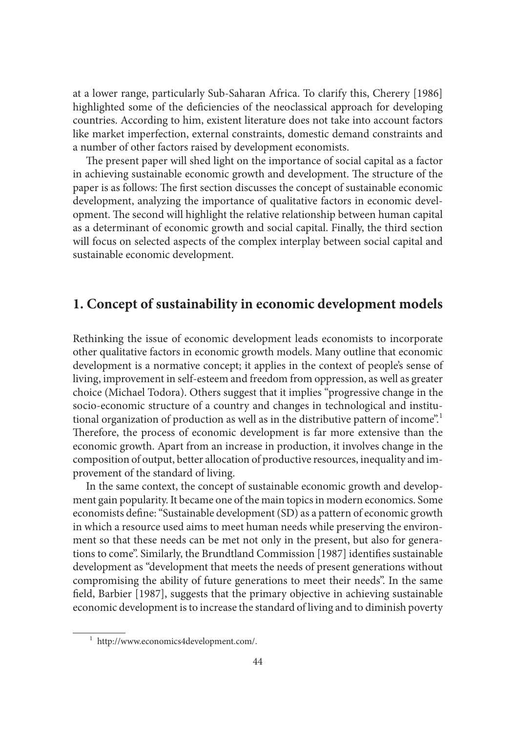at a lower range, particularly Sub-Saharan Africa. To clarify this, Cherery [1986] highlighted some of the deficiencies of the neoclassical approach for developing countries. According to him, existent literature does not take into account factors like market imperfection, external constraints, domestic demand constraints and a number of other factors raised by development economists.

The present paper will shed light on the importance of social capital as a factor in achieving sustainable economic growth and development. The structure of the paper is as follows: The first section discusses the concept of sustainable economic development, analyzing the importance of qualitative factors in economic development. The second will highlight the relative relationship between human capital as a determinant of economic growth and social capital. Finally, the third section will focus on selected aspects of the complex interplay between social capital and sustainable economic development.

# **1. Concept of sustainability in economic development models**

Rethinking the issue of economic development leads economists to incorporate other qualitative factors in economic growth models. Many outline that economic development is a normative concept; it applies in the context of people's sense of living, improvement in self-esteem and freedom from oppression, as well as greater choice (Michael Todora). Others suggest that it implies "progressive change in the socio-economic structure of a country and changes in technological and institutional organization of production as well as in the distributive pattern of income".<sup>1</sup> Therefore, the process of economic development is far more extensive than the economic growth. Apart from an increase in production, it involves change in the composition of output, better allocation of productive resources, inequality and improvement of the standard of living.

In the same context, the concept of sustainable economic growth and development gain popularity. It became one of the main topics in modern economics. Some economists define: "Sustainable development (SD) as a pattern of economic growth in which a resource used aims to meet human needs while preserving the environment so that these needs can be met not only in the present, but also for generations to come". Similarly, the Brundtland Commission [1987] identifies sustainable development as "development that meets the needs of present generations without compromising the ability of future generations to meet their needs". In the same field, Barbier [1987], suggests that the primary objective in achieving sustainable economic development is to increase the standard of living and to diminish poverty

 <sup>1</sup> http://www.economics4development.com/.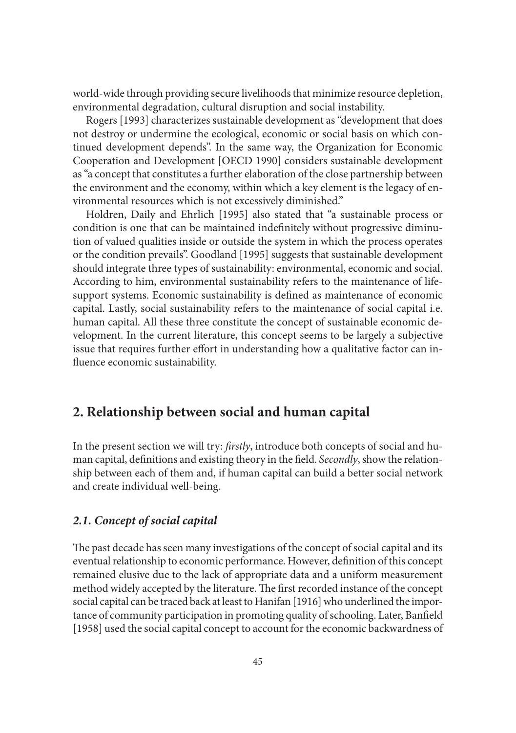world-wide through providing secure livelihoods that minimize resource depletion, environmental degradation, cultural disruption and social instability.

Rogers [1993] characterizes sustainable development as "development that does not destroy or undermine the ecological, economic or social basis on which continued development depends". In the same way, the Organization for Economic Cooperation and Development [OECD 1990] considers sustainable development as "a concept that constitutes a further elaboration of the close partnership between the environment and the economy, within which a key element is the legacy of environmental resources which is not excessively diminished."

Holdren, Daily and Ehrlich [1995] also stated that "a sustainable process or condition is one that can be maintained indefinitely without progressive diminution of valued qualities inside or outside the system in which the process operates or the condition prevails". Goodland [1995] suggests that sustainable development should integrate three types of sustainability: environmental, economic and social. According to him, environmental sustainability refers to the maintenance of lifesupport systems. Economic sustainability is defined as maintenance of economic capital. Lastly, social sustainability refers to the maintenance of social capital i.e. human capital. All these three constitute the concept of sustainable economic development. In the current literature, this concept seems to be largely a subjective issue that requires further effort in understanding how a qualitative factor can influence economic sustainability.

## **2. Relationship between social and human capital**

In the present section we will try: *fi rstly*, introduce both concepts of social and human capital, definitions and existing theory in the field. *Secondly*, show the relationship between each of them and, if human capital can build a better social network and create individual well-being.

#### *2.1. Concept of social capital*

The past decade has seen many investigations of the concept of social capital and its eventual relationship to economic performance. However, definition of this concept remained elusive due to the lack of appropriate data and a uniform measurement method widely accepted by the literature. The first recorded instance of the concept social capital can be traced back at least to Hanifan [1916] who underlined the importance of community participation in promoting quality of schooling. Later, Banfield [1958] used the social capital concept to account for the economic backwardness of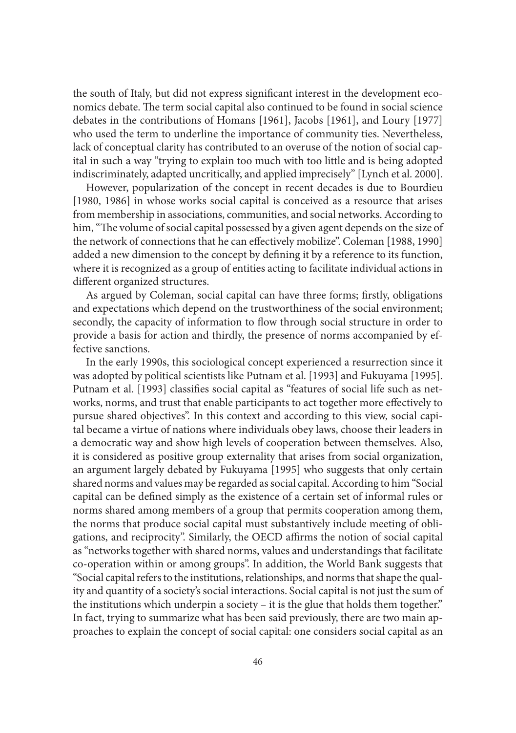the south of Italy, but did not express significant interest in the development economics debate. The term social capital also continued to be found in social science debates in the contributions of Homans [1961], Jacobs [1961], and Loury [1977] who used the term to underline the importance of community ties. Nevertheless, lack of conceptual clarity has contributed to an overuse of the notion of social capital in such a way "trying to explain too much with too little and is being adopted indiscriminately, adapted uncritically, and applied imprecisely" [Lynch et al. 2000].

However, popularization of the concept in recent decades is due to Bourdieu [1980, 1986] in whose works social capital is conceived as a resource that arises from membership in associations, communities, and social networks. According to him, "The volume of social capital possessed by a given agent depends on the size of the network of connections that he can effectively mobilize". Coleman [1988, 1990] added a new dimension to the concept by defining it by a reference to its function, where it is recognized as a group of entities acting to facilitate individual actions in different organized structures.

As argued by Coleman, social capital can have three forms; firstly, obligations and expectations which depend on the trustworthiness of the social environment; secondly, the capacity of information to flow through social structure in order to provide a basis for action and thirdly, the presence of norms accompanied by effective sanctions.

In the early 1990s, this sociological concept experienced a resurrection since it was adopted by political scientists like Putnam et al. [1993] and Fukuyama [1995]. Putnam et al. [1993] classifies social capital as "features of social life such as networks, norms, and trust that enable participants to act together more effectively to pursue shared objectives". In this context and according to this view, social capital became a virtue of nations where individuals obey laws, choose their leaders in a democratic way and show high levels of cooperation between themselves. Also, it is considered as positive group externality that arises from social organization, an argument largely debated by Fukuyama [1995] who suggests that only certain shared norms and values may be regarded as social capital. According to him "Social capital can be defined simply as the existence of a certain set of informal rules or norms shared among members of a group that permits cooperation among them, the norms that produce social capital must substantively include meeting of obligations, and reciprocity". Similarly, the OECD affirms the notion of social capital as "networks together with shared norms, values and understandings that facilitate co-operation within or among groups". In addition, the World Bank suggests that "Social capital refers to the institutions, relationships, and norms that shape the quality and quantity of a society's social interactions. Social capital is not just the sum of the institutions which underpin a society – it is the glue that holds them together." In fact, trying to summarize what has been said previously, there are two main approaches to explain the concept of social capital: one considers social capital as an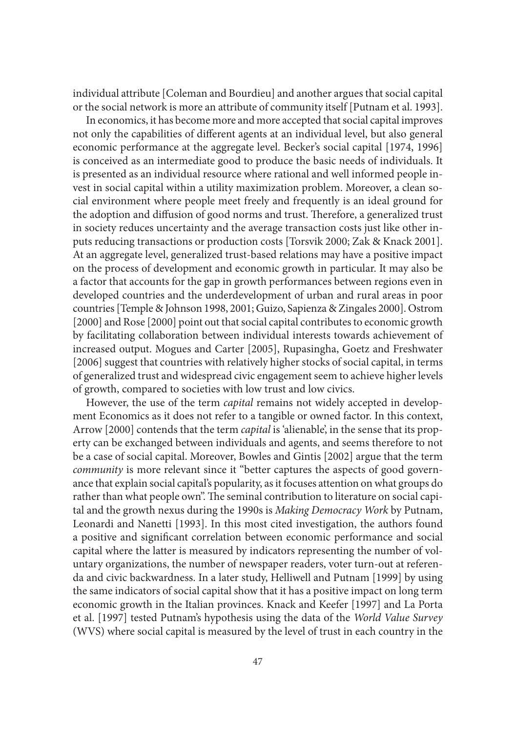individual attribute [Coleman and Bourdieu] and another argues that social capital or the social network is more an attribute of community itself [Putnam et al. 1993].

In economics, it has become more and more accepted that social capital improves not only the capabilities of different agents at an individual level, but also general economic performance at the aggregate level. Becker's social capital [1974, 1996] is conceived as an intermediate good to produce the basic needs of individuals. It is presented as an individual resource where rational and well informed people invest in social capital within a utility maximization problem. Moreover, a clean social environment where people meet freely and frequently is an ideal ground for the adoption and diffusion of good norms and trust. Therefore, a generalized trust in society reduces uncertainty and the average transaction costs just like other inputs reducing transactions or production costs [Torsvik 2000; Zak & Knack 2001]. At an aggregate level, generalized trust-based relations may have a positive impact on the process of development and economic growth in particular. It may also be a factor that accounts for the gap in growth performances between regions even in developed countries and the underdevelopment of urban and rural areas in poor countries [Temple & Johnson 1998, 2001; Guizo, Sapienza & Zingales 2000]. Ostrom [2000] and Rose [2000] point out that social capital contributes to economic growth by facilitating collaboration between individual interests towards achievement of increased output. Mogues and Carter [2005], Rupasingha, Goetz and Freshwater [2006] suggest that countries with relatively higher stocks of social capital, in terms of generalized trust and widespread civic engagement seem to achieve higher levels of growth, compared to societies with low trust and low civics.

However, the use of the term *capital* remains not widely accepted in development Economics as it does not refer to a tangible or owned factor. In this context, Arrow [2000] contends that the term *capital* is 'alienable', in the sense that its property can be exchanged between individuals and agents, and seems therefore to not be a case of social capital. Moreover, Bowles and Gintis [2002] argue that the term *community* is more relevant since it "better captures the aspects of good governance that explain social capital's popularity, as it focuses attention on what groups do rather than what people own". The seminal contribution to literature on social capital and the growth nexus during the 1990s is *Making Democracy Work* by Putnam, Leonardi and Nanetti [1993]. In this most cited investigation, the authors found a positive and significant correlation between economic performance and social capital where the latter is measured by indicators representing the number of voluntary organizations, the number of newspaper readers, voter turn-out at referenda and civic backwardness. In a later study, Helliwell and Putnam [1999] by using the same indicators of social capital show that it has a positive impact on long term economic growth in the Italian provinces. Knack and Keefer [1997] and La Porta et al. [1997] tested Putnam's hypothesis using the data of the *World Value Survey*  (WVS) where social capital is measured by the level of trust in each country in the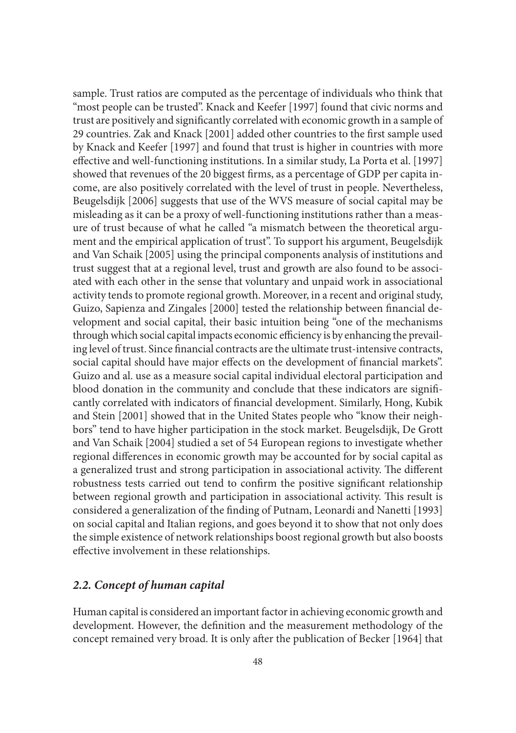sample. Trust ratios are computed as the percentage of individuals who think that "most people can be trusted". Knack and Keefer [1997] found that civic norms and trust are positively and significantly correlated with economic growth in a sample of 29 countries. Zak and Knack [2001] added other countries to the first sample used by Knack and Keefer [1997] and found that trust is higher in countries with more effective and well-functioning institutions. In a similar study, La Porta et al. [1997] showed that revenues of the 20 biggest firms, as a percentage of GDP per capita income, are also positively correlated with the level of trust in people. Nevertheless, Beugelsdijk [2006] suggests that use of the WVS measure of social capital may be misleading as it can be a proxy of well-functioning institutions rather than a measure of trust because of what he called "a mismatch between the theoretical argument and the empirical application of trust". To support his argument, Beugelsdijk and Van Schaik [2005] using the principal components analysis of institutions and trust suggest that at a regional level, trust and growth are also found to be associated with each other in the sense that voluntary and unpaid work in associational activity tends to promote regional growth. Moreover, in a recent and original study, Guizo, Sapienza and Zingales [2000] tested the relationship between financial development and social capital, their basic intuition being "one of the mechanisms through which social capital impacts economic efficiency is by enhancing the prevailing level of trust. Since financial contracts are the ultimate trust-intensive contracts, social capital should have major effects on the development of financial markets". Guizo and al. use as a measure social capital individual electoral participation and blood donation in the community and conclude that these indicators are significantly correlated with indicators of financial development. Similarly, Hong, Kubik and Stein [2001] showed that in the United States people who "know their neighbors" tend to have higher participation in the stock market. Beugelsdijk, De Grott and Van Schaik [2004] studied a set of 54 European regions to investigate whether regional differences in economic growth may be accounted for by social capital as a generalized trust and strong participation in associational activity. The different robustness tests carried out tend to confirm the positive significant relationship between regional growth and participation in associational activity. This result is considered a generalization of the finding of Putnam, Leonardi and Nanetti [1993] on social capital and Italian regions, and goes beyond it to show that not only does the simple existence of network relationships boost regional growth but also boosts effective involvement in these relationships.

#### *2.2. Concept of human capital*

Human capital is considered an important factor in achieving economic growth and development. However, the definition and the measurement methodology of the concept remained very broad. It is only after the publication of Becker [1964] that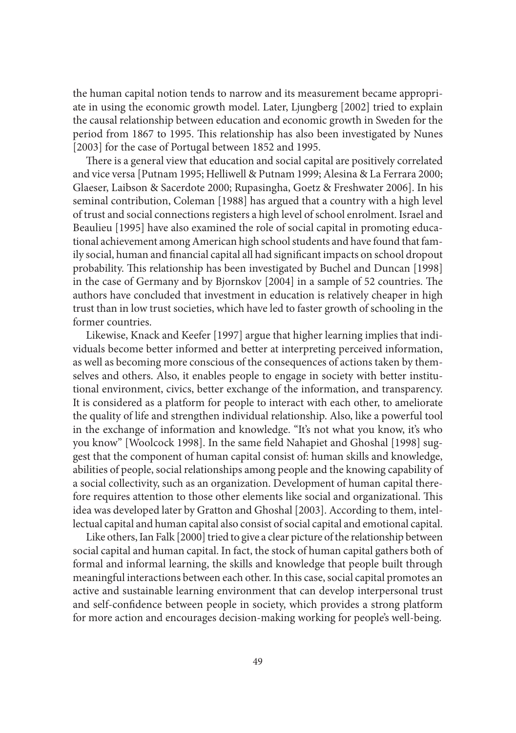the human capital notion tends to narrow and its measurement became appropriate in using the economic growth model. Later, Ljungberg [2002] tried to explain the causal relationship between education and economic growth in Sweden for the period from 1867 to 1995. This relationship has also been investigated by Nunes [2003] for the case of Portugal between 1852 and 1995.

There is a general view that education and social capital are positively correlated and vice versa [Putnam 1995; Helliwell & Putnam 1999; Alesina & La Ferrara 2000; Glaeser, Laibson & Sacerdote 2000; Rupasingha, Goetz & Freshwater 2006]. In his seminal contribution, Coleman [1988] has argued that a country with a high level of trust and social connections registers a high level of school enrolment. Israel and Beaulieu [1995] have also examined the role of social capital in promoting educational achievement among American high school students and have found that family social, human and financial capital all had significant impacts on school dropout probability. This relationship has been investigated by Buchel and Duncan [1998] in the case of Germany and by Bjornskov [2004] in a sample of 52 countries. The authors have concluded that investment in education is relatively cheaper in high trust than in low trust societies, which have led to faster growth of schooling in the former countries.

Likewise, Knack and Keefer [1997] argue that higher learning implies that individuals become better informed and better at interpreting perceived information, as well as becoming more conscious of the consequences of actions taken by themselves and others. Also, it enables people to engage in society with better institutional environment, civics, better exchange of the information, and transparency. It is considered as a platform for people to interact with each other, to ameliorate the quality of life and strengthen individual relationship. Also, like a powerful tool in the exchange of information and knowledge. "It's not what you know, it's who you know" [Woolcock 1998]. In the same field Nahapiet and Ghoshal [1998] suggest that the component of human capital consist of: human skills and knowledge, abilities of people, social relationships among people and the knowing capability of a social collectivity, such as an organization. Development of human capital therefore requires attention to those other elements like social and organizational. This idea was developed later by Gratton and Ghoshal [2003]. According to them, intellectual capital and human capital also consist of social capital and emotional capital.

Like others, Ian Falk [2000] tried to give a clear picture of the relationship between social capital and human capital. In fact, the stock of human capital gathers both of formal and informal learning, the skills and knowledge that people built through meaningful interactions between each other. In this case, social capital promotes an active and sustainable learning environment that can develop interpersonal trust and self-confidence between people in society, which provides a strong platform for more action and encourages decision-making working for people's well-being.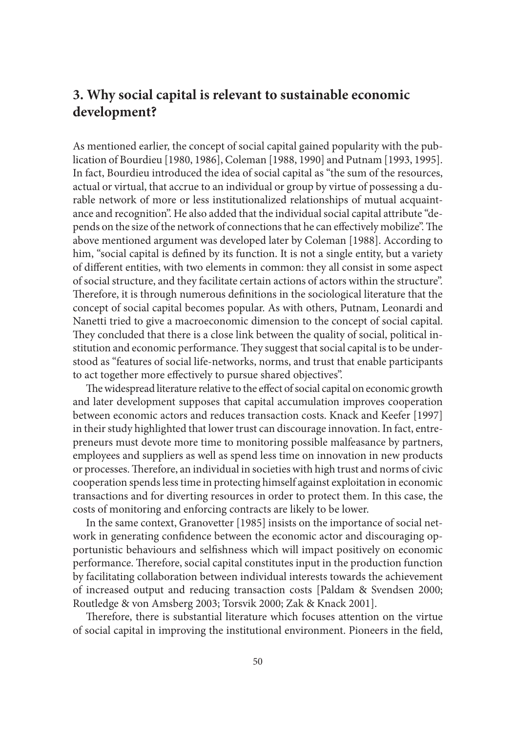# **3. Why social capital is relevant to sustainable economic development?**

As mentioned earlier, the concept of social capital gained popularity with the publication of Bourdieu [1980, 1986], Coleman [1988, 1990] and Putnam [1993, 1995]. In fact, Bourdieu introduced the idea of social capital as "the sum of the resources, actual or virtual, that accrue to an individual or group by virtue of possessing a durable network of more or less institutionalized relationships of mutual acquaintance and recognition". He also added that the individual social capital attribute "depends on the size of the network of connections that he can effectively mobilize". The above mentioned argument was developed later by Coleman [1988]. According to him, "social capital is defined by its function. It is not a single entity, but a variety of different entities, with two elements in common: they all consist in some aspect of social structure, and they facilitate certain actions of actors within the structure". Therefore, it is through numerous definitions in the sociological literature that the concept of social capital becomes popular. As with others, Putnam, Leonardi and Nanetti tried to give a macroeconomic dimension to the concept of social capital. They concluded that there is a close link between the quality of social, political institution and economic performance. They suggest that social capital is to be understood as "features of social life-networks, norms, and trust that enable participants to act together more effectively to pursue shared objectives".

The widespread literature relative to the effect of social capital on economic growth and later development supposes that capital accumulation improves cooperation between economic actors and reduces transaction costs. Knack and Keefer [1997] in their study highlighted that lower trust can discourage innovation. In fact, entrepreneurs must devote more time to monitoring possible malfeasance by partners, employees and suppliers as well as spend less time on innovation in new products or processes. Therefore, an individual in societies with high trust and norms of civic cooperation spends less time in protecting himself against exploitation in economic transactions and for diverting resources in order to protect them. In this case, the costs of monitoring and enforcing contracts are likely to be lower.

In the same context, Granovetter [1985] insists on the importance of social network in generating confidence between the economic actor and discouraging opportunistic behaviours and selfishness which will impact positively on economic performance. Therefore, social capital constitutes input in the production function by facilitating collaboration between individual interests towards the achievement of increased output and reducing transaction costs [Paldam & Svendsen 2000; Routledge & von Amsberg 2003; Torsvik 2000; Zak & Knack 2001].

Therefore, there is substantial literature which focuses attention on the virtue of social capital in improving the institutional environment. Pioneers in the field,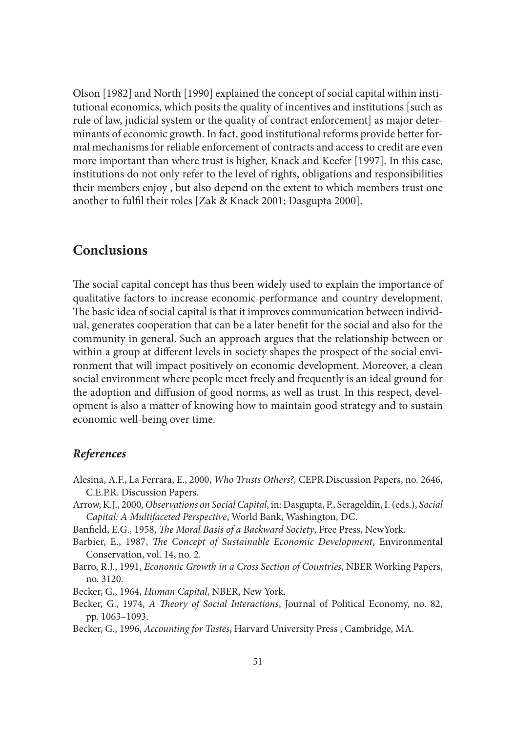Olson [1982] and North [1990] explained the concept of social capital within institutional economics, which posits the quality of incentives and institutions [such as rule of law, judicial system or the quality of contract enforcement] as major determinants of economic growth. In fact, good institutional reforms provide better formal mechanisms for reliable enforcement of contracts and access to credit are even more important than where trust is higher, Knack and Keefer [1997]. In this case, institutions do not only refer to the level of rights, obligations and responsibilities their members enjoy , but also depend on the extent to which members trust one another to fulfil their roles [Zak & Knack 2001; Dasgupta 2000].

## **Conclusions**

The social capital concept has thus been widely used to explain the importance of qualitative factors to increase economic performance and country development. The basic idea of social capital is that it improves communication between individual, generates cooperation that can be a later benefi t for the social and also for the community in general. Such an approach argues that the relationship between or within a group at different levels in society shapes the prospect of the social environment that will impact positively on economic development. Moreover, a clean social environment where people meet freely and frequently is an ideal ground for the adoption and diffusion of good norms, as well as trust. In this respect, development is also a matter of knowing how to maintain good strategy and to sustain economic well-being over time.

### *References*

- Alesina, A.F., La Ferrara, E., 2000, *Who Trusts Others?,* CEPR Discussion Papers, no. 2646, C.E.P.R. Discussion Papers.
- Arrow, K.J., 2000, *Observations on Social Capital*, in: Dasgupta, P., Serageldin, I. (eds.), *Social Capital: A Multifaceted Perspective*, World Bank, Washington, DC.
- Banfield, E.G., 1958, *The Moral Basis of a Backward Society*, Free Press, NewYork.
- Barbier, E., 1987, *The Concept of Sustainable Economic Development*, Environmental Conservation, vol. 14, no. 2.
- Barro, R.J., 1991, *Economic Growth in a Cross Section of Countries*, NBER Working Papers, no. 3120.

Becker, G., 1964, *Human Capital*, NBER, New York.

- Becker, G., 1974, *A Theory of Social Interactions*, Journal of Political Economy, no. 82, pp. 1063–1093.
- Becker, G., 1996, *Accounting for Tastes*, Harvard University Press , Cambridge, MA.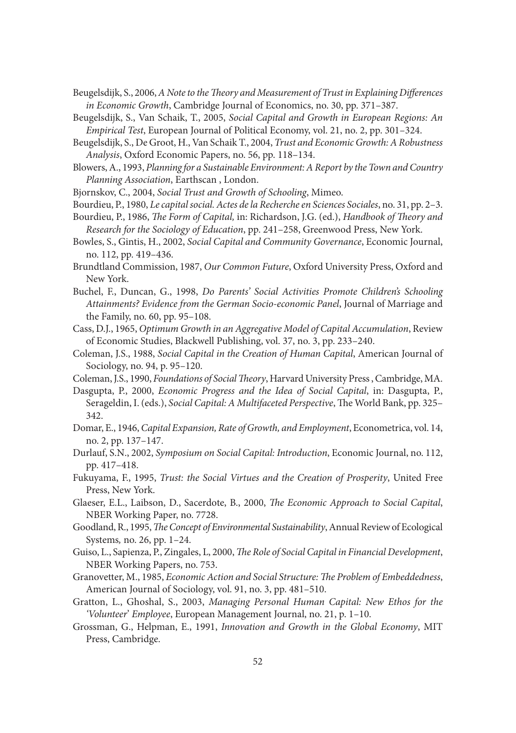- Beugelsdijk, S., 2006, *A Note to the Theory and Measurement of Trust in Explaining Differences in Economic Growth*, Cambridge Journal of Economics, no. 30, pp. 371–387.
- Beugelsdijk, S., Van Schaik, T., 2005, *Social Capital and Growth in European Regions: An Empirical Test*, European Journal of Political Economy, vol. 21, no. 2, pp. 301–324.
- Beugelsdijk, S., De Groot, H., Van Schaik T., 2004, *Trust and Economic Growth: A Robustness Analysis*, Oxford Economic Papers, no. 56, pp. 118–134.
- Blowers, A., 1993, *Planning for a Sustainable Environment: A Report by the Town and Country Planning Association*, Earthscan , London.
- Bjornskov, C., 2004, *Social Trust and Growth of Schooling*, Mimeo.
- Bourdieu, P., 1980, *Le capital social. Actes de la Recherche en Sciences Sociales*, no. 31, pp. 2–3.
- Bourdieu, P., 1986, *The Form of Capital*, in: Richardson, J.G. (ed.), *Handbook of Theory and Research for the Sociology of Education*, pp. 241–258, Greenwood Press, New York.
- Bowles, S., Gintis, H., 2002, *Social Capital and Community Governance*, Economic Journal, no. 112, pp. 419–436.
- Brundtland Commission, 1987, *Our Common Future*, Oxford University Press, Oxford and New York.
- Buchel, F., Duncan, G., 1998, *Do Parents' Social Activities Promote Children's Schooling Attainments? Evidence from the German Socio‐economic Panel*, Journal of Marriage and the Family, no. 60, pp. 95–108.
- Cass, D.J., 1965, *Optimum Growth in an Aggregative Model of Capital Accumulation*, Review of Economic Studies, Blackwell Publishing, vol. 37, no. 3, pp. 233–240.
- Coleman, J.S., 1988, *Social Capital in the Creation of Human Capital*, American Journal of Sociology, no. 94, p. 95–120.
- Coleman, J.S., 1990, *Foundations of Social Theory*, Harvard University Press, Cambridge, MA.
- Dasgupta, P., 2000, *Economic Progress and the Idea of Social Capital*, in: Dasgupta, P., Serageldin, I. (eds.), *Social Capital: A Multifaceted Perspective*, The World Bank, pp. 325– 342.
- Domar, E., 1946, *Capital Expansion, Rate of Growth, and Employment*, Econometrica, vol. 14, no. 2, pp. 137–147.
- Durlauf, S.N., 2002, *Symposium on Social Capital: Introduction*, Economic Journal, no. 112, pp. 417–418.
- Fukuyama, F., 1995, *Trust: the Social Virtues and the Creation of Prosperity*, United Free Press, New York.
- Glaeser, E.L., Laibson, D., Sacerdote, B., 2000, *The Economic Approach to Social Capital*, NBER Working Paper, no. 7728.
- Goodland, R., 1995, *The Concept of Environmental Sustainability*, Annual Review of Ecological Systems*,* no. 26, pp. 1–24.
- Guiso, L., Sapienza, P., Zingales, L., 2000, *The Role of Social Capital in Financial Development*, NBER Working Papers, no. 753.
- Granovetter, M., 1985, *Economic Action and Social Structure: The Problem of Embeddedness*, American Journal of Sociology, vol. 91, no. 3, pp. 481–510.
- Gratton, L., Ghoshal, S., 2003, *Managing Personal Human Capital: New Ethos for the 'Volunteer*' *Employee*, European Management Journal, no. 21, p. 1–10.
- Grossman, G., Helpman, E., 1991, *Innovation and Growth in the Global Economy*, MIT Press, Cambridge.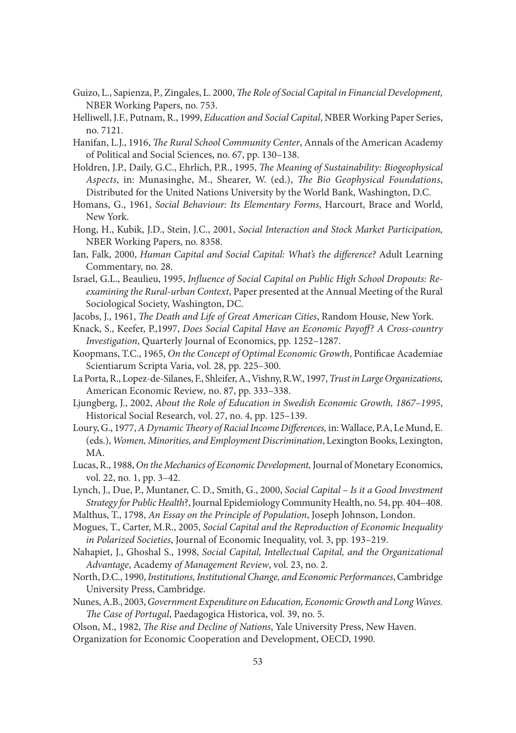- Guizo, L., Sapienza, P., Zingales, L. 2000, *The Role of Social Capital in Financial Development*, NBER Working Papers, no. 753.
- Helliwell, J.F., Putnam, R., 1999, *Education and Social Capital*, NBER Working Paper Series, no. 7121.
- Hanifan, L.J., 1916, *The Rural School Community Center*, Annals of the American Academy of Political and Social Sciences, no. 67, pp. 130–138.
- Holdren, J.P., Daily, G.C., Ehrlich, P.R., 1995, *The Meaning of Sustainability: Biogeophysical* Aspects, in: Munasinghe, M., Shearer, W. (ed.), *The Bio Geophysical Foundations*, Distributed for the United Nations University by the World Bank, Washington, D.C.
- Homans, G., 1961, *Social Behaviour: Its Elementary Forms*, Harcourt, Brace and World, New York.
- Hong, H., Kubik, J.D., Stein, J.C., 2001, *Social Interaction and Stock Market Participation,*  NBER Working Papers, no. 8358.
- Ian, Falk, 2000, *Human Capital and Social Capital: What's the difference?* Adult Learning Commentary, no. 28.
- Israel, G.L., Beaulieu, 1995, *Influence of Social Capital on Public High School Dropouts: Reexamining the Rural-urban Context*, Paper presented at the Annual Meeting of the Rural Sociological Society, Washington, DC.
- Jacobs, J., 1961, *The Death and Life of Great American Cities*, Random House, New York.
- Knack, S., Keefer, P.,1997, *Does Social Capital Have an Economic Payoff ? A Cross‐country Investigation*, Quarterly Journal of Economics, pp. 1252–1287.
- Koopmans, T.C., 1965, *On the Concept of Optimal Economic Growth*, Pontificae Academiae Scientiarum Scripta Varia, vol. 28, pp. 225–300.
- La Porta, R., Lopez‐de‐Silanes, F., Shleifer, A., Vishny, R.W., 1997, *Trust in Large Organizations,* American Economic Review*,* no. 87, pp. 333–338.
- Ljungberg, J., 2002, *About the Role of Education in Swedish Economic Growth, 1867–1995*, Historical Social Research, vol. 27, no. 4, pp. 125–139.
- Loury, G., 1977, *A Dynamic Theory of Racial Income Differences*, in: Wallace, P.A, Le Mund, E. (eds.), *Women, Minorities, and Employment Discrimination*, Lexington Books, Lexington, MA.
- Lucas, R., 1988, *On the Mechanics of Economic Development,* Journal of Monetary Economics, vol. 22, no. 1, pp. 3–42.
- Lynch, J., Due, P., Muntaner, C. D., Smith, G., 2000, *Social Capital Is it a Good Investment Strategy for Public Health*?, Journal Epidemiology Community Health, no. 54, pp. 404–408.
- Malthus, T., 1798, *An Essay on the Principle of Population*, Joseph Johnson, London.
- Mogues, T., Carter, M.R., 2005, *Social Capital and the Reproduction of Economic Inequality in Polarized Societies*, Journal of Economic Inequality, vol. 3, pp. 193–219.
- Nahapiet, J., Ghoshal S., 1998, *Social Capital, Intellectual Capital, and the Organizational Advantage*, Academy *of Management Review*, vol. 23, no. 2.
- North, D.C., 1990, *Institutions, Institutional Change, and Economic Performances*, Cambridge University Press, Cambridge.
- Nunes, A.B., 2003, *Government Expenditure on Education, Economic Growth and Long Waves.*  The Case of Portugal, Paedagogica Historica, vol. 39, no. 5.
- Olson, M., 1982, *The Rise and Decline of Nations*, Yale University Press, New Haven.
- Organization for Economic Cooperation and Development, OECD, 1990.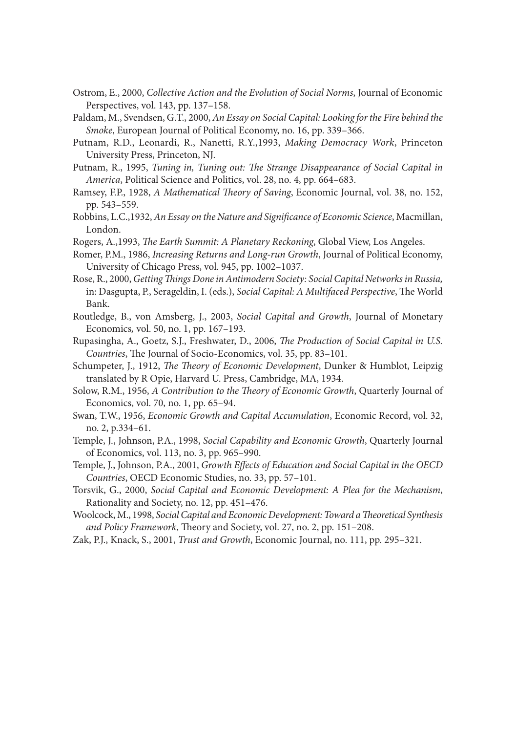- Ostrom, E., 2000, *Collective Action and the Evolution of Social Norms*, Journal of Economic Perspectives, vol. 143, pp. 137–158.
- Paldam, M., Svendsen, G.T., 2000, *An Essay on Social Capital: Looking for the Fire behind the Smoke*, European Journal of Political Economy, no. 16, pp. 339–366.
- Putnam, R.D., Leonardi, R., Nanetti, R.Y.,1993, *Making Democracy Work*, Princeton University Press, Princeton, NJ.
- Putnam, R., 1995, *Tuning in, Tuning out: The Strange Disappearance of Social Capital in America*, Political Science and Politics, vol. 28, no. 4, pp. 664–683.
- Ramsey, F.P., 1928, *A Mathematical Theory of Saving*, Economic Journal, vol. 38, no. 152, pp. 543–559.
- Robbins, L.C.,1932, *An Essay on the Nature and Significance of Economic Science*, Macmillan, London.
- Rogers, A.,1993, *The Earth Summit: A Planetary Reckoning*, Global View, Los Angeles.
- Romer, P.M., 1986, *Increasing Returns and Long-run Growth*, Journal of Political Economy, University of Chicago Press, vol. 945, pp. 1002–1037.
- Rose, R., 2000, *Getting Things Done in Antimodern Society: Social Capital Networks in Russia,* in: Dasgupta, P., Serageldin, I. (eds.), *Social Capital: A Multifaced Perspective*, The World Bank.
- Routledge, B., von Amsberg, J., 2003, *Social Capital and Growth*, Journal of Monetary Economics*,* vol. 50, no. 1, pp. 167–193.
- Rupasingha, A., Goetz, S.J., Freshwater, D., 2006, *The Production of Social Capital in U.S. Countries*, The Journal of Socio-Economics, vol. 35, pp. 83-101.
- Schumpeter, J., 1912, *The Theory of Economic Development*, Dunker & Humblot, Leipzig translated by R Opie, Harvard U. Press, Cambridge, MA, 1934.
- Solow, R.M., 1956, *A Contribution to the Theory of Economic Growth*, Quarterly Journal of Economics, vol. 70, no. 1, pp. 65–94.
- Swan, T.W., 1956, *Economic Growth and Capital Accumulation*, Economic Record, vol. 32, no. 2, p.334–61.
- Temple, J., Johnson, P.A., 1998, *Social Capability and Economic Growth*, Quarterly Journal of Economics, vol. 113, no. 3, pp. 965–990.
- Temple, J., Johnson, P.A., 2001, *Growth Effects of Education and Social Capital in the OECD Countries*, OECD Economic Studies, no. 33, pp. 57–101.
- Torsvik, G., 2000, *Social Capital and Economic Development: A Plea for the Mechanism*, Rationality and Society, no. 12, pp. 451–476.
- Woolcock, M., 1998, *Social Capital and Economic Development: Toward a Th eoretical Synthesis*  and Policy Framework, Theory and Society, vol. 27, no. 2, pp. 151-208.
- Zak, P.J., Knack, S., 2001, *Trust and Growth*, Economic Journal, no. 111, pp. 295–321.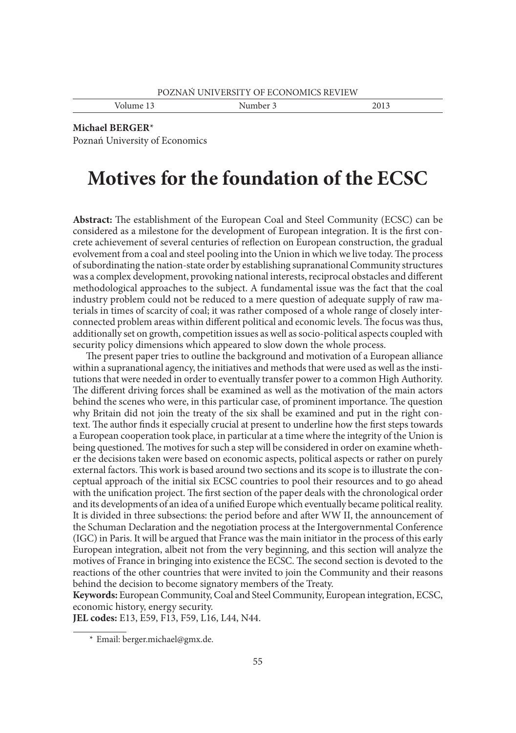Volume 13 Number 3 2013

#### **Michael BERGER**\*

Poznań University of Economics

# **Motives for the foundation of the ECSC**

Abstract: The establishment of the European Coal and Steel Community (ECSC) can be considered as a milestone for the development of European integration. It is the first concrete achievement of several centuries of reflection on European construction, the gradual evolvement from a coal and steel pooling into the Union in which we live today. The process of subordinating the nation-state order by establishing supranational Community structures was a complex development, provoking national interests, reciprocal obstacles and different methodological approaches to the subject. A fundamental issue was the fact that the coal industry problem could not be reduced to a mere question of adequate supply of raw materials in times of scarcity of coal; it was rather composed of a whole range of closely interconnected problem areas within different political and economic levels. The focus was thus, additionally set on growth, competition issues as well as socio-political aspects coupled with security policy dimensions which appeared to slow down the whole process.

The present paper tries to outline the background and motivation of a European alliance within a supranational agency, the initiatives and methods that were used as well as the institutions that were needed in order to eventually transfer power to a common High Authority. The different driving forces shall be examined as well as the motivation of the main actors behind the scenes who were, in this particular case, of prominent importance. The question why Britain did not join the treaty of the six shall be examined and put in the right context. The author finds it especially crucial at present to underline how the first steps towards a European cooperation took place, in particular at a time where the integrity of the Union is being questioned. The motives for such a step will be considered in order on examine whether the decisions taken were based on economic aspects, political aspects or rather on purely external factors. This work is based around two sections and its scope is to illustrate the conceptual approach of the initial six ECSC countries to pool their resources and to go ahead with the unification project. The first section of the paper deals with the chronological order and its developments of an idea of a unified Europe which eventually became political reality. It is divided in three subsections: the period before and after WW II, the announcement of the Schuman Declaration and the negotiation process at the Intergovernmental Conference (IGC) in Paris. It will be argued that France was the main initiator in the process of this early European integration, albeit not from the very beginning, and this section will analyze the motives of France in bringing into existence the ECSC. The second section is devoted to the reactions of the other countries that were invited to join the Community and their reasons behind the decision to become signatory members of the Treaty.

**Keywords:** European Community, Coal and Steel Community, European integration, ECSC, economic history, energy security.

**JEL codes:** E13, E59, F13, F59, L16, L44, N44.

 <sup>\*</sup> Email: berger.michael@gmx.de.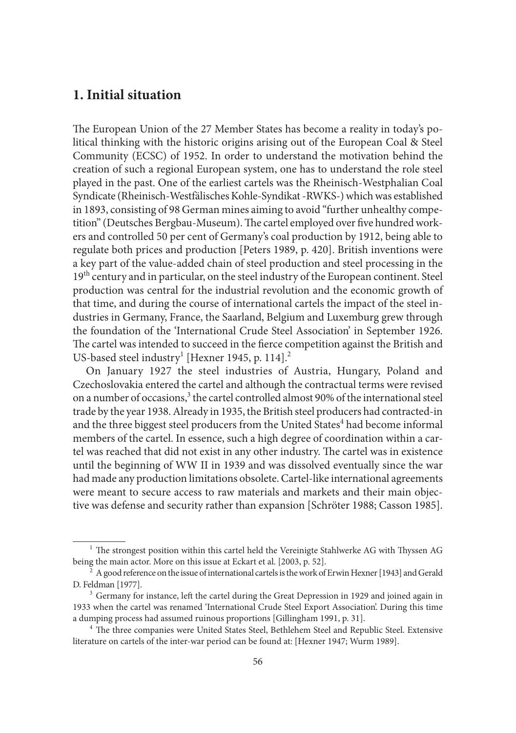# **1. Initial situation**

The European Union of the 27 Member States has become a reality in today's political thinking with the historic origins arising out of the European Coal & Steel Community (ECSC) of 1952. In order to understand the motivation behind the creation of such a regional European system, one has to understand the role steel played in the past. One of the earliest cartels was the Rheinisch-Westphalian Coal Syndicate (Rheinisch-Westfälisches Kohle-Syndikat -RWKS-) which was established in 1893, consisting of 98 German mines aiming to avoid "further unhealthy competition" (Deutsches Bergbau-Museum). The cartel employed over five hundred workers and controlled 50 per cent of Germany's coal production by 1912, being able to regulate both prices and production [Peters 1989, p. 420]. British inventions were a key part of the value-added chain of steel production and steel processing in the 19<sup>th</sup> century and in particular, on the steel industry of the European continent. Steel production was central for the industrial revolution and the economic growth of that time, and during the course of international cartels the impact of the steel industries in Germany, France, the Saarland, Belgium and Luxemburg grew through the foundation of the 'International Crude Steel Association' in September 1926. The cartel was intended to succeed in the fierce competition against the British and US-based steel industry<sup>1</sup> [Hexner 1945, p. 114].<sup>2</sup>

On January 1927 the steel industries of Austria, Hungary, Poland and Czechoslovakia entered the cartel and although the contractual terms were revised on a number of occasions,<sup>3</sup> the cartel controlled almost 90% of the international steel trade by the year 1938. Already in 1935, the British steel producers had contracted-in and the three biggest steel producers from the United States<sup>4</sup> had become informal members of the cartel. In essence, such a high degree of coordination within a cartel was reached that did not exist in any other industry. The cartel was in existence until the beginning of WW II in 1939 and was dissolved eventually since the war had made any production limitations obsolete. Cartel-like international agreements were meant to secure access to raw materials and markets and their main objective was defense and security rather than expansion [Schröter 1988; Casson 1985].

 $1$  The strongest position within this cartel held the Vereinigte Stahlwerke AG with Thyssen AG being the main actor. More on this issue at Eckart et al. [2003, p. 52].<br><sup>2</sup> A good reference on the issue of international cartels is the work of Erwin Hexner [1943] and Gerald

D. Feldman [1977].<br><sup>3</sup> Germany for instance, left the cartel during the Great Depression in 1929 and joined again in

<sup>1933</sup> when the cartel was renamed 'International Crude Steel Export Association'. During this time a dumping process had assumed ruinous proportions [Gillingham 1991, p. 31].<br><sup>4</sup> The three companies were United States Steel, Bethlehem Steel and Republic Steel. Extensive

literature on cartels of the inter-war period can be found at: [Hexner 1947; Wurm 1989].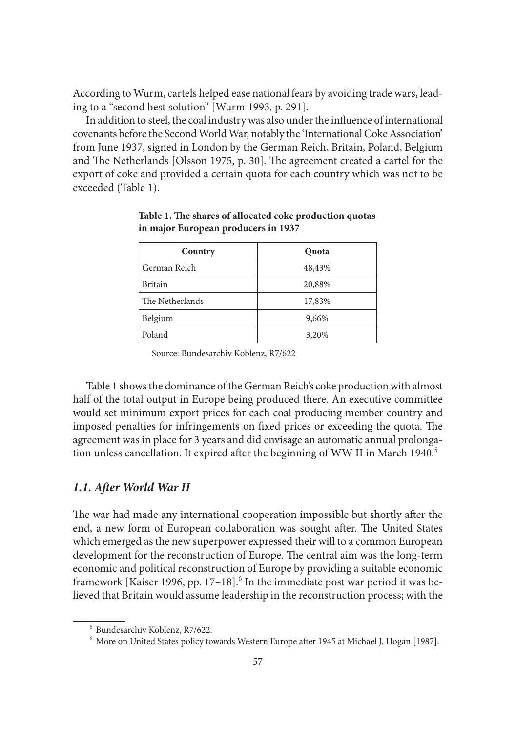According to Wurm, cartels helped ease national fears by avoiding trade wars, leading to a "second best solution" [Wurm 1993, p. 291].

In addition to steel, the coal industry was also under the influence of international covenants before the Second World War, notably the 'International Coke Association' from June 1937, signed in London by the German Reich, Britain, Poland, Belgium and The Netherlands [Olsson 1975, p. 30]. The agreement created a cartel for the export of coke and provided a certain quota for each country which was not to be exceeded (Table 1).

| Country         | Quota  |
|-----------------|--------|
| German Reich    | 48,43% |
| <b>Britain</b>  | 20,88% |
| The Netherlands | 17,83% |
| Belgium         | 9,66%  |
| Poland          | 3,20%  |

Table 1. The shares of allocated coke production quotas **in major European producers in 1937**

Source: Bundesarchiv Koblenz, R7/622

Table 1 shows the dominance of the German Reich's coke production with almost half of the total output in Europe being produced there. An executive committee would set minimum export prices for each coal producing member country and imposed penalties for infringements on fixed prices or exceeding the quota. The agreement was in place for 3 years and did envisage an automatic annual prolongation unless cancellation. It expired after the beginning of WW II in March 1940.<sup>5</sup>

#### 1.1. After World War II

The war had made any international cooperation impossible but shortly after the end, a new form of European collaboration was sought after. The United States which emerged as the new superpower expressed their will to a common European development for the reconstruction of Europe. The central aim was the long-term economic and political reconstruction of Europe by providing a suitable economic framework [Kaiser 1996, pp. 17-18].<sup>6</sup> In the immediate post war period it was believed that Britain would assume leadership in the reconstruction process; with the

<sup>&</sup>lt;sup>5</sup> Bundesarchiv Koblenz, R7/622.<br><sup>6</sup> More on United States policy towards Western Europe after 1945 at Michael J. Hogan [1987].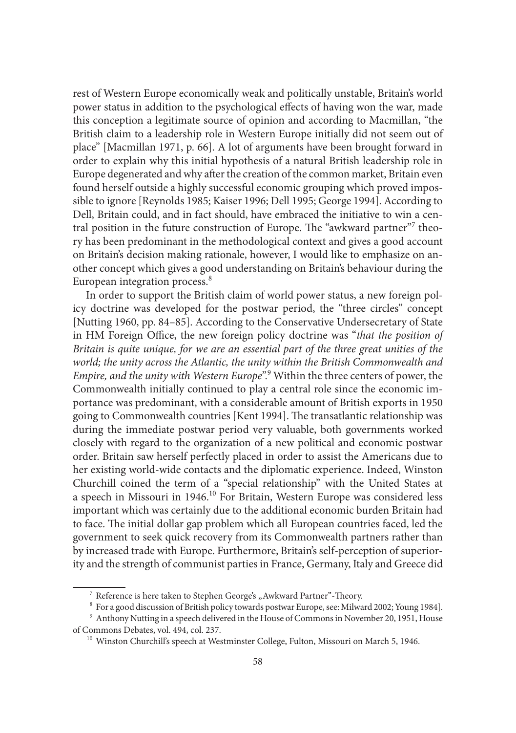rest of Western Europe economically weak and politically unstable, Britain's world power status in addition to the psychological effects of having won the war, made this conception a legitimate source of opinion and according to Macmillan, "the British claim to a leadership role in Western Europe initially did not seem out of place" [Macmillan 1971, p. 66]. A lot of arguments have been brought forward in order to explain why this initial hypothesis of a natural British leadership role in Europe degenerated and why after the creation of the common market, Britain even found herself outside a highly successful economic grouping which proved impossible to ignore [Reynolds 1985; Kaiser 1996; Dell 1995; George 1994]. According to Dell, Britain could, and in fact should, have embraced the initiative to win a central position in the future construction of Europe. The "awkward partner"7 theory has been predominant in the methodological context and gives a good account on Britain's decision making rationale, however, I would like to emphasize on another concept which gives a good understanding on Britain's behaviour during the European integration process.<sup>8</sup>

In order to support the British claim of world power status, a new foreign policy doctrine was developed for the postwar period, the "three circles" concept [Nutting 1960, pp. 84–85]. According to the Conservative Undersecretary of State in HM Foreign Office, the new foreign policy doctrine was "*that the position of Britain is quite unique, for we are an essential part of the three great unities of the world; the unity across the Atlantic, the unity within the British Commonwealth and*  Empire, and the unity with Western Europe".<sup>9</sup> Within the three centers of power, the Commonwealth initially continued to play a central role since the economic importance was predominant, with a considerable amount of British exports in 1950 going to Commonwealth countries [Kent 1994]. The transatlantic relationship was during the immediate postwar period very valuable, both governments worked closely with regard to the organization of a new political and economic postwar order. Britain saw herself perfectly placed in order to assist the Americans due to her existing world-wide contacts and the diplomatic experience. Indeed, Winston Churchill coined the term of a "special relationship" with the United States at a speech in Missouri in 1946.10 For Britain, Western Europe was considered less important which was certainly due to the additional economic burden Britain had to face. The initial dollar gap problem which all European countries faced, led the government to seek quick recovery from its Commonwealth partners rather than by increased trade with Europe. Furthermore, Britain's self-perception of superiority and the strength of communist parties in France, Germany, Italy and Greece did

 $^7$  Reference is here taken to Stephen George's "Awkward Partner"-Theory.<br> $^8$  For a good discussion of British policy towards postwar Europe, see: Milward 2002; Young 1984].<br> $^9$  Anthony Nutting in a speech delivered in of Commons Debates, vol. 494, col. 237. 10 Winston Churchill's speech at Westminster College, Fulton, Missouri on March 5, 1946.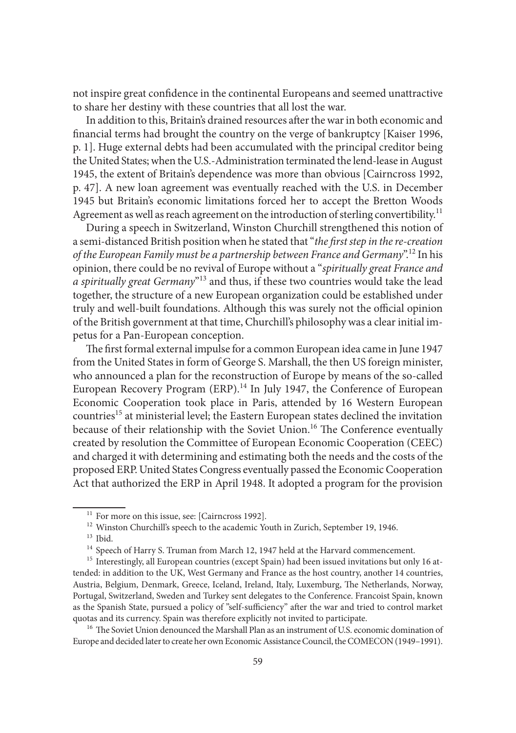not inspire great confidence in the continental Europeans and seemed unattractive to share her destiny with these countries that all lost the war.

In addition to this, Britain's drained resources after the war in both economic and financial terms had brought the country on the verge of bankruptcy [Kaiser 1996, p. 1]. Huge external debts had been accumulated with the principal creditor being the United States; when the U.S.-Administration terminated the lend-lease in August 1945, the extent of Britain's dependence was more than obvious [Cairncross 1992, p. 47]. A new loan agreement was eventually reached with the U.S. in December 1945 but Britain's economic limitations forced her to accept the Bretton Woods Agreement as well as reach agreement on the introduction of sterling convertibility.<sup>11</sup>

During a speech in Switzerland, Winston Churchill strengthened this notion of a semi-distanced British position when he stated that "*the first step in the re-creation of the European Family must be a partnership between France and Germany*".12 In his opinion, there could be no revival of Europe without a "*spiritually great France and a spiritually great Germany*"13 and thus, if these two countries would take the lead together, the structure of a new European organization could be established under truly and well-built foundations. Although this was surely not the official opinion of the British government at that time, Churchill's philosophy was a clear initial impetus for a Pan-European conception.

The first formal external impulse for a common European idea came in June 1947 from the United States in form of George S. Marshall, the then US foreign minister, who announced a plan for the reconstruction of Europe by means of the so-called European Recovery Program (ERP).<sup>14</sup> In July 1947, the Conference of European Economic Cooperation took place in Paris, attended by 16 Western European countries<sup>15</sup> at ministerial level; the Eastern European states declined the invitation because of their relationship with the Soviet Union.<sup>16</sup> The Conference eventually created by resolution the Committee of European Economic Cooperation (CEEC) and charged it with determining and estimating both the needs and the costs of the proposed ERP. United States Congress eventually passed the Economic Cooperation Act that authorized the ERP in April 1948. It adopted a program for the provision

Europe and decided later to create her own Economic Assistance Council, the COMECON (1949–1991).

<sup>&</sup>lt;sup>11</sup> For more on this issue, see: [Cairncross 1992].<br><sup>12</sup> Winston Churchill's speech to the academic Youth in Zurich, September 19, 1946.<br><sup>13</sup> Ibid.<br><sup>14</sup> Speech of Harry S. Truman from March 12, 1947 held at the Harvard c tended: in addition to the UK, West Germany and France as the host country, another 14 countries, Austria, Belgium, Denmark, Greece, Iceland, Ireland, Italy, Luxemburg, The Netherlands, Norway, Portugal, Switzerland, Sweden and Turkey sent delegates to the Conference. Francoist Spain, known as the Spanish State, pursued a policy of "self-sufficiency" after the war and tried to control market quotas and its currency. Spain was therefore explicitly not invited to participate. <sup>16</sup> The Soviet Union denounced the Marshall Plan as an instrument of U.S. economic domination of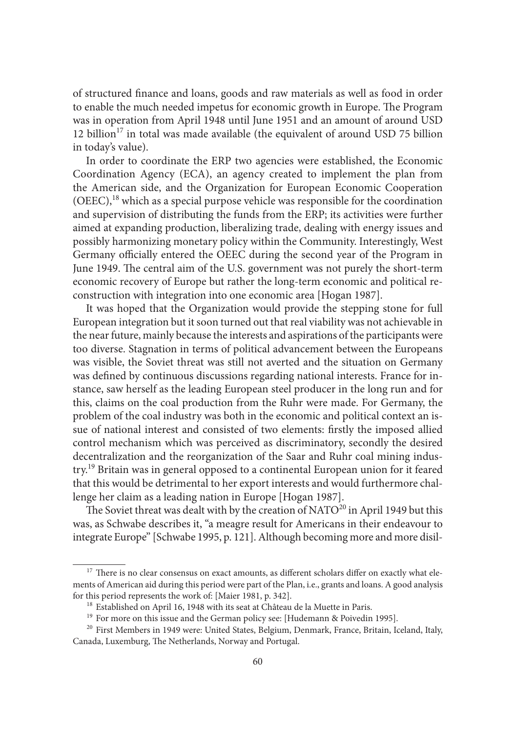of structured finance and loans, goods and raw materials as well as food in order to enable the much needed impetus for economic growth in Europe. The Program was in operation from April 1948 until June 1951 and an amount of around USD 12 billion<sup>17</sup> in total was made available (the equivalent of around USD 75 billion in today's value).

In order to coordinate the ERP two agencies were established, the Economic Coordination Agency (ECA), an agency created to implement the plan from the American side, and the Organization for European Economic Cooperation (OEEC),18 which as a special purpose vehicle was responsible for the coordination and supervision of distributing the funds from the ERP; its activities were further aimed at expanding production, liberalizing trade, dealing with energy issues and possibly harmonizing monetary policy within the Community. Interestingly, West Germany officially entered the OEEC during the second year of the Program in June 1949. The central aim of the U.S. government was not purely the short-term economic recovery of Europe but rather the long-term economic and political reconstruction with integration into one economic area [Hogan 1987].

It was hoped that the Organization would provide the stepping stone for full European integration but it soon turned out that real viability was not achievable in the near future, mainly because the interests and aspirations of the participants were too diverse. Stagnation in terms of political advancement between the Europeans was visible, the Soviet threat was still not averted and the situation on Germany was defined by continuous discussions regarding national interests. France for instance, saw herself as the leading European steel producer in the long run and for this, claims on the coal production from the Ruhr were made. For Germany, the problem of the coal industry was both in the economic and political context an issue of national interest and consisted of two elements: firstly the imposed allied control mechanism which was perceived as discriminatory, secondly the desired decentralization and the reorganization of the Saar and Ruhr coal mining industry.19 Britain was in general opposed to a continental European union for it feared that this would be detrimental to her export interests and would furthermore challenge her claim as a leading nation in Europe [Hogan 1987].

The Soviet threat was dealt with by the creation of NATO<sup>20</sup> in April 1949 but this was, as Schwabe describes it, "a meagre result for Americans in their endeavour to integrate Europe" [Schwabe 1995, p. 121]. Although becoming more and more disil-

<sup>&</sup>lt;sup>17</sup> There is no clear consensus on exact amounts, as different scholars differ on exactly what elements of American aid during this period were part of the Plan, i.e., grants and loans. A good analysis for this period represents the work of: [Maier 1981, p. 342].<br><sup>18</sup> Established on April 16, 1948 with its seat at Château de la Muette in Paris.<br><sup>19</sup> For more on this issue and the German policy see: [Hudemann & Poivedin

Canada, Luxemburg, The Netherlands, Norway and Portugal.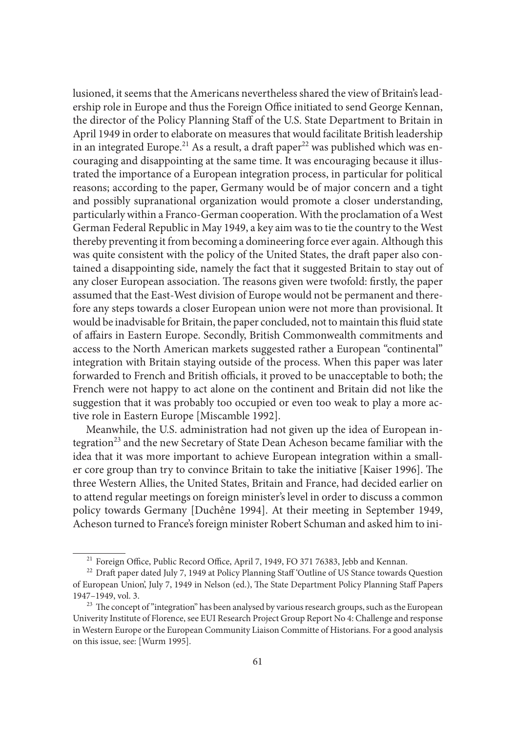lusioned, it seems that the Americans nevertheless shared the view of Britain's leadership role in Europe and thus the Foreign Office initiated to send George Kennan, the director of the Policy Planning Staff of the U.S. State Department to Britain in April 1949 in order to elaborate on measures that would facilitate British leadership in an integrated Europe.<sup>21</sup> As a result, a draft paper<sup>22</sup> was published which was encouraging and disappointing at the same time. It was encouraging because it illustrated the importance of a European integration process, in particular for political reasons; according to the paper, Germany would be of major concern and a tight and possibly supranational organization would promote a closer understanding, particularly within a Franco-German cooperation. With the proclamation of a West German Federal Republic in May 1949, a key aim was to tie the country to the West thereby preventing it from becoming a domineering force ever again. Although this was quite consistent with the policy of the United States, the draft paper also contained a disappointing side, namely the fact that it suggested Britain to stay out of any closer European association. The reasons given were twofold: firstly, the paper assumed that the East-West division of Europe would not be permanent and therefore any steps towards a closer European union were not more than provisional. It would be inadvisable for Britain, the paper concluded, not to maintain this fluid state of affairs in Eastern Europe. Secondly, British Commonwealth commitments and access to the North American markets suggested rather a European "continental" integration with Britain staying outside of the process. When this paper was later forwarded to French and British officials, it proved to be unacceptable to both; the French were not happy to act alone on the continent and Britain did not like the suggestion that it was probably too occupied or even too weak to play a more active role in Eastern Europe [Miscamble 1992].

Meanwhile, the U.S. administration had not given up the idea of European integration<sup>23</sup> and the new Secretary of State Dean Acheson became familiar with the idea that it was more important to achieve European integration within a smaller core group than try to convince Britain to take the initiative [Kaiser 1996]. The three Western Allies, the United States, Britain and France, had decided earlier on to attend regular meetings on foreign minister's level in order to discuss a common policy towards Germany [Duchêne 1994]. At their meeting in September 1949, Acheson turned to France's foreign minister Robert Schuman and asked him to ini-

<sup>&</sup>lt;sup>21</sup> Foreign Office, Public Record Office, April 7, 1949, FO 371 76383, Jebb and Kennan.<br><sup>22</sup> Draft paper dated July 7, 1949 at Policy Planning Staff 'Outline of US Stance towards Question

of European Union', July 7, 1949 in Nelson (ed.), The State Department Policy Planning Staff Papers 1947–1949, vol. 3.<br><sup>23</sup> The concept of "integration" has been analysed by various research groups, such as the European

Univerity Institute of Florence, see EUI Research Project Group Report No 4: Challenge and response in Western Europe or the European Community Liaison Committe of Historians. For a good analysis on this issue, see: [Wurm 1995].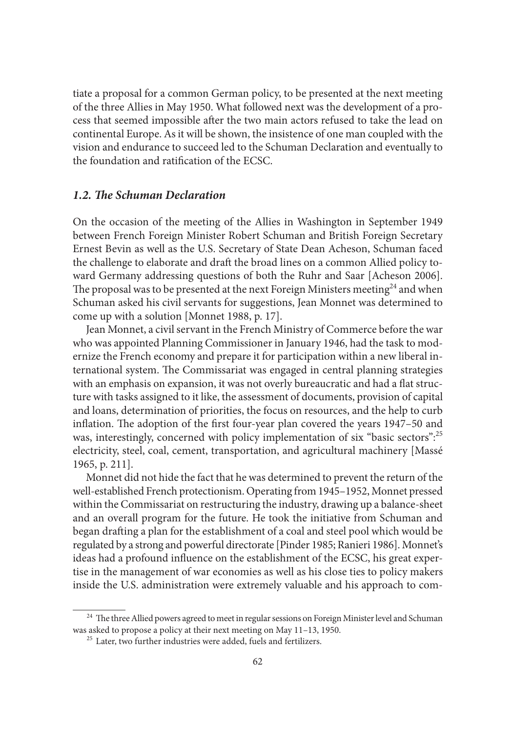tiate a proposal for a common German policy, to be presented at the next meeting of the three Allies in May 1950. What followed next was the development of a process that seemed impossible after the two main actors refused to take the lead on continental Europe. As it will be shown, the insistence of one man coupled with the vision and endurance to succeed led to the Schuman Declaration and eventually to the foundation and ratification of the ECSC.

#### *1.2. The Schuman Declaration*

On the occasion of the meeting of the Allies in Washington in September 1949 between French Foreign Minister Robert Schuman and British Foreign Secretary Ernest Bevin as well as the U.S. Secretary of State Dean Acheson, Schuman faced the challenge to elaborate and draft the broad lines on a common Allied policy toward Germany addressing questions of both the Ruhr and Saar [Acheson 2006]. The proposal was to be presented at the next Foreign Ministers meeting<sup>24</sup> and when Schuman asked his civil servants for suggestions, Jean Monnet was determined to come up with a solution [Monnet 1988, p. 17].

Jean Monnet, a civil servant in the French Ministry of Commerce before the war who was appointed Planning Commissioner in January 1946, had the task to modernize the French economy and prepare it for participation within a new liberal international system. The Commissariat was engaged in central planning strategies with an emphasis on expansion, it was not overly bureaucratic and had a flat structure with tasks assigned to it like, the assessment of documents, provision of capital and loans, determination of priorities, the focus on resources, and the help to curb inflation. The adoption of the first four-year plan covered the years 1947–50 and was, interestingly, concerned with policy implementation of six "basic sectors":<sup>25</sup> electricity, steel, coal, cement, transportation, and agricultural machinery [Massé 1965, p. 211].

Monnet did not hide the fact that he was determined to prevent the return of the well-established French protectionism. Operating from 1945–1952, Monnet pressed within the Commissariat on restructuring the industry, drawing up a balance-sheet and an overall program for the future. He took the initiative from Schuman and began drafting a plan for the establishment of a coal and steel pool which would be regulated by a strong and powerful directorate [Pinder 1985; Ranieri 1986]. Monnet's ideas had a profound influence on the establishment of the ECSC, his great expertise in the management of war economies as well as his close ties to policy makers inside the U.S. administration were extremely valuable and his approach to com-

 $^\mathrm{24}$  The three Allied powers agreed to meet in regular sessions on Foreign Minister level and Schuman was asked to propose a policy at their next meeting on May 11–13, 1950. <sup>25</sup> Later, two further industries were added, fuels and fertilizers.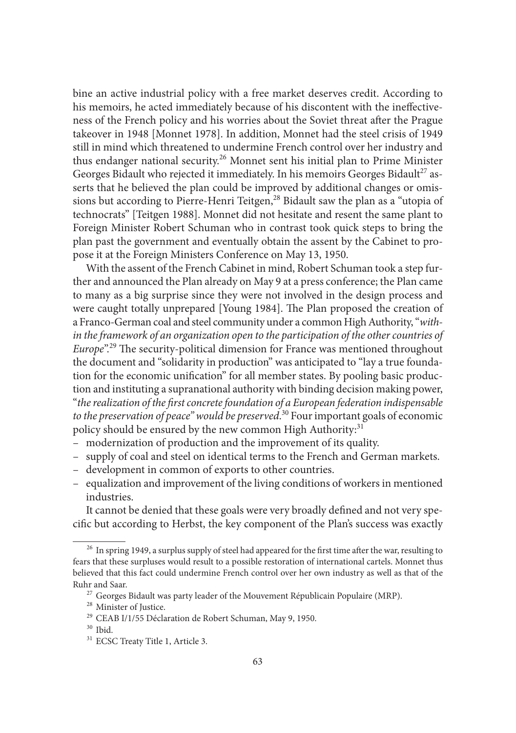bine an active industrial policy with a free market deserves credit. According to his memoirs, he acted immediately because of his discontent with the ineffectiveness of the French policy and his worries about the Soviet threat after the Prague takeover in 1948 [Monnet 1978]. In addition, Monnet had the steel crisis of 1949 still in mind which threatened to undermine French control over her industry and thus endanger national security.<sup>26</sup> Monnet sent his initial plan to Prime Minister Georges Bidault who rejected it immediately. In his memoirs Georges Bidault<sup>27</sup> asserts that he believed the plan could be improved by additional changes or omissions but according to Pierre-Henri Teitgen,<sup>28</sup> Bidault saw the plan as a "utopia of technocrats" [Teitgen 1988]. Monnet did not hesitate and resent the same plant to Foreign Minister Robert Schuman who in contrast took quick steps to bring the plan past the government and eventually obtain the assent by the Cabinet to propose it at the Foreign Ministers Conference on May 13, 1950.

With the assent of the French Cabinet in mind, Robert Schuman took a step further and announced the Plan already on May 9 at a press conference; the Plan came to many as a big surprise since they were not involved in the design process and were caught totally unprepared [Young 1984]. The Plan proposed the creation of a Franco-German coal and steel community under a common High Authority, "*within the framework of an organization open to the participation of the other countries of Europe*<sup>".29</sup> The security-political dimension for France was mentioned throughout the document and "solidarity in production" was anticipated to "lay a true foundation for the economic unification" for all member states. By pooling basic production and instituting a supranational authority with binding decision making power, "the realization of the first concrete foundation of a European federation indispensable to the preservation of peace" would be preserved.<sup>30</sup> Four important goals of economic policy should be ensured by the new common High Authority: $31$ 

- modernization of production and the improvement of its quality.
- supply of coal and steel on identical terms to the French and German markets.
- development in common of exports to other countries.
- equalization and improvement of the living conditions of workers in mentioned industries.

It cannot be denied that these goals were very broadly defined and not very specific but according to Herbst, the key component of the Plan's success was exactly

<sup>&</sup>lt;sup>26</sup> In spring 1949, a surplus supply of steel had appeared for the first time after the war, resulting to fears that these surpluses would result to a possible restoration of international cartels. Monnet thus believed that this fact could undermine French control over her own industry as well as that of the Ruhr and Saar. <sup>27</sup> Georges Bidault was party leader of the Mouvement Républicain Populaire (MRP).<br><sup>28</sup> Minister of Justice. <sup>29</sup> CEAB I/1/55 Déclaration de Robert Schuman, May 9, 1950.<br><sup>30</sup> Ibid. <sup>31</sup> ECSC Treaty Title 1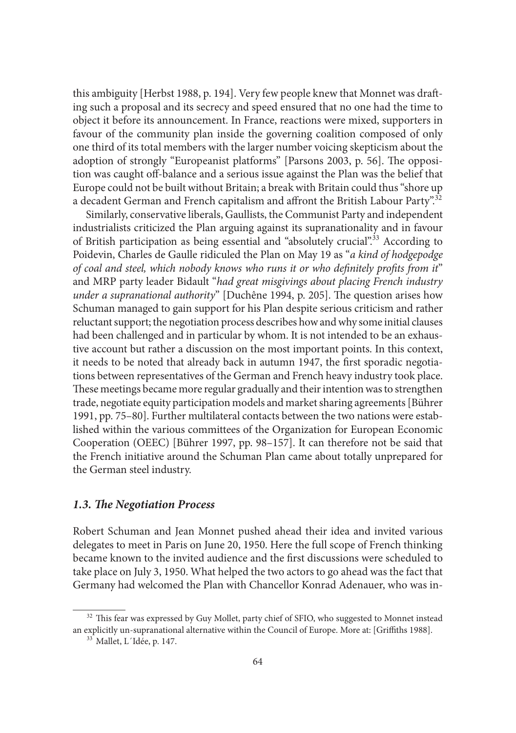this ambiguity [Herbst 1988, p. 194]. Very few people knew that Monnet was draft ing such a proposal and its secrecy and speed ensured that no one had the time to object it before its announcement. In France, reactions were mixed, supporters in favour of the community plan inside the governing coalition composed of only one third of its total members with the larger number voicing skepticism about the adoption of strongly "Europeanist platforms" [Parsons 2003, p. 56]. The opposition was caught off -balance and a serious issue against the Plan was the belief that Europe could not be built without Britain; a break with Britain could thus "shore up a decadent German and French capitalism and affront the British Labour Party".<sup>32</sup>

Similarly, conservative liberals, Gaullists, the Communist Party and independent industrialists criticized the Plan arguing against its supranationality and in favour of British participation as being essential and "absolutely crucial".<sup>33</sup> According to Poidevin, Charles de Gaulle ridiculed the Plan on May 19 as "*a kind of hodgepodge*  of coal and steel, which nobody knows who runs it or who definitely profits from it" and MRP party leader Bidault "*had great misgivings about placing French industry under a supranational authority*" [Duchêne 1994, p. 205]. The question arises how Schuman managed to gain support for his Plan despite serious criticism and rather reluctant support; the negotiation process describes how and why some initial clauses had been challenged and in particular by whom. It is not intended to be an exhaustive account but rather a discussion on the most important points. In this context, it needs to be noted that already back in autumn 1947, the first sporadic negotiations between representatives of the German and French heavy industry took place. These meetings became more regular gradually and their intention was to strengthen trade, negotiate equity participation models and market sharing agreements [Bührer 1991, pp. 75–80]. Further multilateral contacts between the two nations were established within the various committees of the Organization for European Economic Cooperation (OEEC) [Bührer 1997, pp. 98–157]. It can therefore not be said that the French initiative around the Schuman Plan came about totally unprepared for the German steel industry.

#### 1.3. The Negotiation Process

Robert Schuman and Jean Monnet pushed ahead their idea and invited various delegates to meet in Paris on June 20, 1950. Here the full scope of French thinking became known to the invited audience and the first discussions were scheduled to take place on July 3, 1950. What helped the two actors to go ahead was the fact that Germany had welcomed the Plan with Chancellor Konrad Adenauer, who was in-

 $^{32}$  This fear was expressed by Guy Mollet, party chief of SFIO, who suggested to Monnet instead an explicitly un-supranational alternative within the Council of Europe. More at: [Griffiths 1988].  $\frac{33}{13}$  Mallet, L´Idée, p. 147.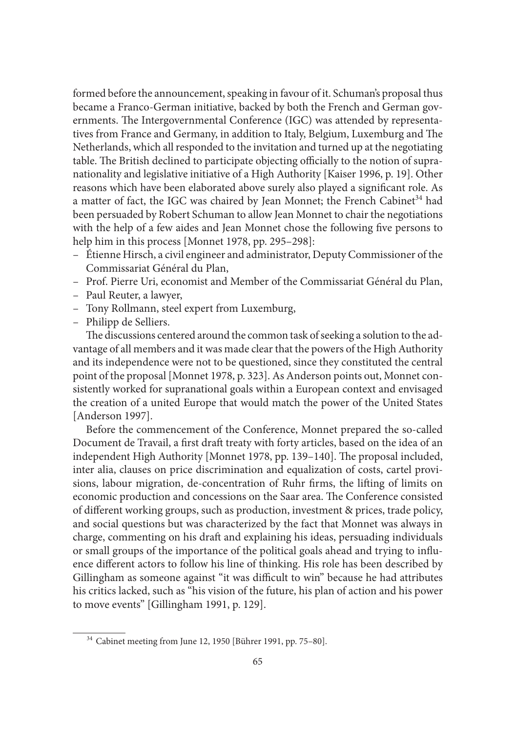formed before the announcement, speaking in favour of it. Schuman's proposal thus became a Franco-German initiative, backed by both the French and German governments. The Intergovernmental Conference (IGC) was attended by representatives from France and Germany, in addition to Italy, Belgium, Luxemburg and The Netherlands, which all responded to the invitation and turned up at the negotiating table. The British declined to participate objecting officially to the notion of supranationality and legislative initiative of a High Authority [Kaiser 1996, p. 19]. Other reasons which have been elaborated above surely also played a significant role. As a matter of fact, the IGC was chaired by Jean Monnet; the French Cabinet<sup>34</sup> had been persuaded by Robert Schuman to allow Jean Monnet to chair the negotiations with the help of a few aides and Jean Monnet chose the following five persons to help him in this process [Monnet 1978, pp. 295–298]:

- Étienne Hirsch, a civil engineer and administrator, Deputy Commissioner of the Commissariat Général du Plan,
- Prof. Pierre Uri, economist and Member of the Commissariat Général du Plan,
- Paul Reuter, a lawyer,
- Tony Rollmann, steel expert from Luxemburg,
- Philipp de Selliers.

The discussions centered around the common task of seeking a solution to the advantage of all members and it was made clear that the powers of the High Authority and its independence were not to be questioned, since they constituted the central point of the proposal [Monnet 1978, p. 323]. As Anderson points out, Monnet consistently worked for supranational goals within a European context and envisaged the creation of a united Europe that would match the power of the United States [Anderson 1997].

Before the commencement of the Conference, Monnet prepared the so-called Document de Travail, a first draft treaty with forty articles, based on the idea of an independent High Authority [Monnet 1978, pp. 139-140]. The proposal included, inter alia, clauses on price discrimination and equalization of costs, cartel provisions, labour migration, de-concentration of Ruhr firms, the lifting of limits on economic production and concessions on the Saar area. The Conference consisted of different working groups, such as production, investment & prices, trade policy, and social questions but was characterized by the fact that Monnet was always in charge, commenting on his draft and explaining his ideas, persuading individuals or small groups of the importance of the political goals ahead and trying to influence different actors to follow his line of thinking. His role has been described by Gillingham as someone against "it was difficult to win" because he had attributes his critics lacked, such as "his vision of the future, his plan of action and his power to move events" [Gillingham 1991, p. 129].

 <sup>34</sup> Cabinet meeting from June 12, 1950 [Bührer 1991, pp. 75–80].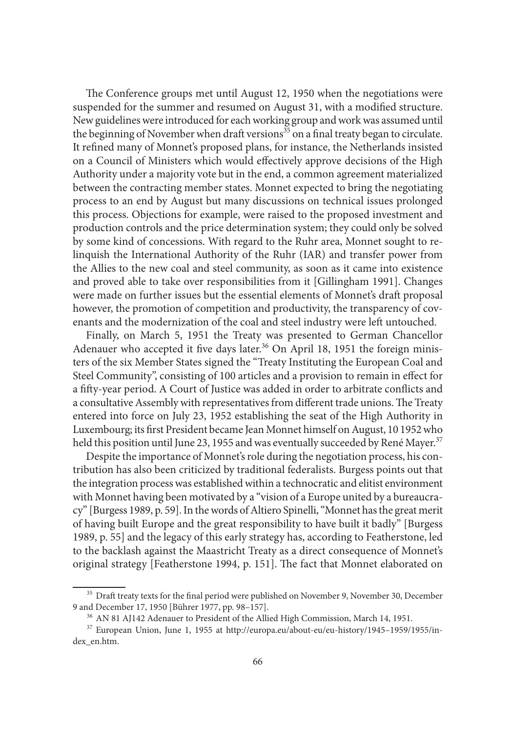The Conference groups met until August 12, 1950 when the negotiations were suspended for the summer and resumed on August 31, with a modified structure. New guidelines were introduced for each working group and work was assumed until the beginning of November when draft versions<sup>35</sup> on a final treaty began to circulate. It refined many of Monnet's proposed plans, for instance, the Netherlands insisted on a Council of Ministers which would effectively approve decisions of the High Authority under a majority vote but in the end, a common agreement materialized between the contracting member states. Monnet expected to bring the negotiating process to an end by August but many discussions on technical issues prolonged this process. Objections for example, were raised to the proposed investment and production controls and the price determination system; they could only be solved by some kind of concessions. With regard to the Ruhr area, Monnet sought to relinquish the International Authority of the Ruhr (IAR) and transfer power from the Allies to the new coal and steel community, as soon as it came into existence and proved able to take over responsibilities from it [Gillingham 1991]. Changes were made on further issues but the essential elements of Monnet's draft proposal however, the promotion of competition and productivity, the transparency of covenants and the modernization of the coal and steel industry were left untouched.

Finally, on March 5, 1951 the Treaty was presented to German Chancellor Adenauer who accepted it five days later.<sup>36</sup> On April 18, 1951 the foreign ministers of the six Member States signed the "Treaty Instituting the European Coal and Steel Community", consisting of 100 articles and a provision to remain in effect for a fifty-year period. A Court of Justice was added in order to arbitrate conflicts and a consultative Assembly with representatives from different trade unions. The Treaty entered into force on July 23, 1952 establishing the seat of the High Authority in Luxembourg; its first President became Jean Monnet himself on August, 10 1952 who held this position until June 23, 1955 and was eventually succeeded by René Mayer.<sup>37</sup>

Despite the importance of Monnet's role during the negotiation process, his contribution has also been criticized by traditional federalists. Burgess points out that the integration process was established within a technocratic and elitist environment with Monnet having been motivated by a "vision of a Europe united by a bureaucracy" [Burgess 1989, p. 59]. In the words of Altiero Spinelli, "Monnet has the great merit of having built Europe and the great responsibility to have built it badly" [Burgess 1989, p. 55] and the legacy of this early strategy has, according to Featherstone, led to the backlash against the Maastricht Treaty as a direct consequence of Monnet's original strategy [Featherstone 1994, p. 151]. The fact that Monnet elaborated on

 $35$  Draft treaty texts for the final period were published on November 9, November 30, December 9 and December 17, 1950 [Bührer 1977, pp. 98–157].<br><sup>36</sup> AN 81 AJ142 Adenauer to President of the Allied High Commission, March 14, 1951.<br><sup>37</sup> European Union, June 1, 1955 at http://europa.eu/about-eu/eu-history/1945–1959/

dex\_en.htm.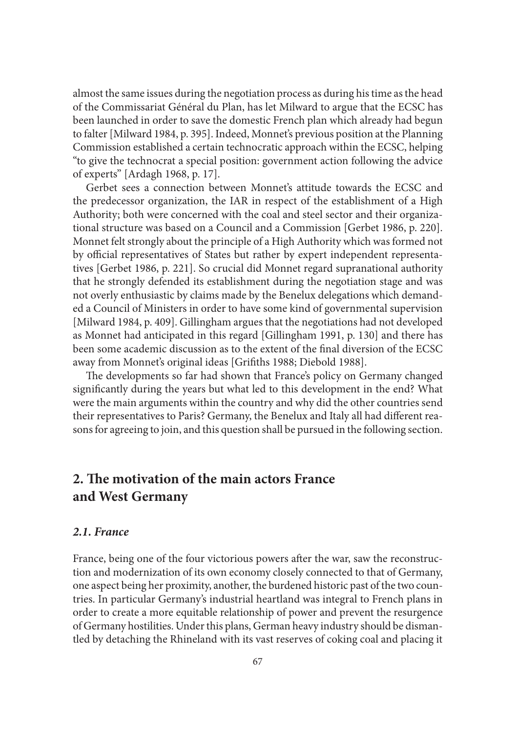almost the same issues during the negotiation process as during his time as the head of the Commissariat Général du Plan, has let Milward to argue that the ECSC has been launched in order to save the domestic French plan which already had begun to falter [Milward 1984, p. 395]. Indeed, Monnet's previous position at the Planning Commission established a certain technocratic approach within the ECSC, helping "to give the technocrat a special position: government action following the advice of experts" [Ardagh 1968, p. 17].

Gerbet sees a connection between Monnet's attitude towards the ECSC and the predecessor organization, the IAR in respect of the establishment of a High Authority; both were concerned with the coal and steel sector and their organizational structure was based on a Council and a Commission [Gerbet 1986, p. 220]. Monnet felt strongly about the principle of a High Authority which was formed not by official representatives of States but rather by expert independent representatives [Gerbet 1986, p. 221]. So crucial did Monnet regard supranational authority that he strongly defended its establishment during the negotiation stage and was not overly enthusiastic by claims made by the Benelux delegations which demanded a Council of Ministers in order to have some kind of governmental supervision [Milward 1984, p. 409]. Gillingham argues that the negotiations had not developed as Monnet had anticipated in this regard [Gillingham 1991, p. 130] and there has been some academic discussion as to the extent of the final diversion of the ECSC away from Monnet's original ideas [Grifiths 1988; Diebold 1988].

The developments so far had shown that France's policy on Germany changed significantly during the years but what led to this development in the end? What were the main arguments within the country and why did the other countries send their representatives to Paris? Germany, the Benelux and Italy all had different reasons for agreeing to join, and this question shall be pursued in the following section.

# **2. The motivation of the main actors France and West Germany**

#### *2.1. France*

France, being one of the four victorious powers after the war, saw the reconstruction and modernization of its own economy closely connected to that of Germany, one aspect being her proximity, another, the burdened historic past of the two countries. In particular Germany's industrial heartland was integral to French plans in order to create a more equitable relationship of power and prevent the resurgence of Germany hostilities. Under this plans, German heavy industry should be dismantled by detaching the Rhineland with its vast reserves of coking coal and placing it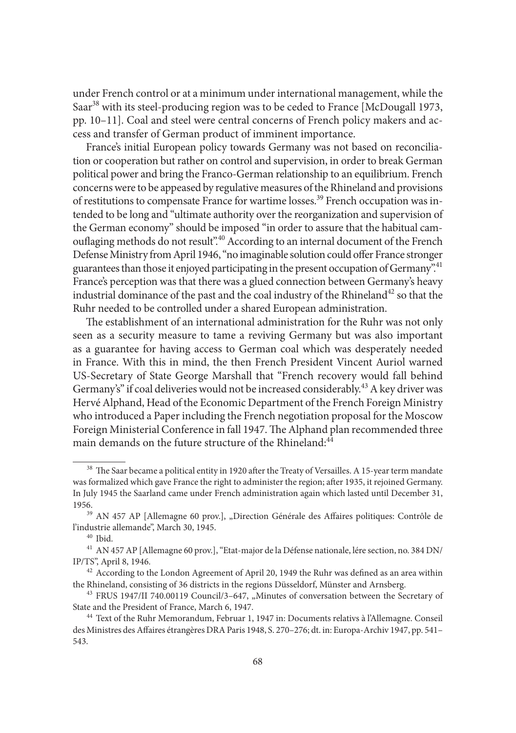under French control or at a minimum under international management, while the Saar<sup>38</sup> with its steel-producing region was to be ceded to France [McDougall 1973, pp. 10–11]. Coal and steel were central concerns of French policy makers and access and transfer of German product of imminent importance.

France's initial European policy towards Germany was not based on reconciliation or cooperation but rather on control and supervision, in order to break German political power and bring the Franco-German relationship to an equilibrium. French concerns were to be appeased by regulative measures of the Rhineland and provisions of restitutions to compensate France for wartime losses.39 French occupation was intended to be long and "ultimate authority over the reorganization and supervision of the German economy" should be imposed "in order to assure that the habitual camouflaging methods do not result".<sup>40</sup> According to an internal document of the French Defense Ministry from April 1946, "no imaginable solution could offer France stronger guarantees than those it enjoyed participating in the present occupation of Germany".<sup>41</sup> France's perception was that there was a glued connection between Germany's heavy industrial dominance of the past and the coal industry of the Rhineland<sup>42</sup> so that the Ruhr needed to be controlled under a shared European administration.

The establishment of an international administration for the Ruhr was not only seen as a security measure to tame a reviving Germany but was also important as a guarantee for having access to German coal which was desperately needed in France. With this in mind, the then French President Vincent Auriol warned US-Secretary of State George Marshall that "French recovery would fall behind Germany's" if coal deliveries would not be increased considerably.<sup>43</sup> A key driver was Hervé Alphand, Head of the Economic Department of the French Foreign Ministry who introduced a Paper including the French negotiation proposal for the Moscow Foreign Ministerial Conference in fall 1947. The Alphand plan recommended three main demands on the future structure of the Rhineland:<sup>44</sup>

<sup>&</sup>lt;sup>38</sup> The Saar became a political entity in 1920 after the Treaty of Versailles. A 15-year term mandate was formalized which gave France the right to administer the region; after 1935, it rejoined Germany. In July 1945 the Saarland came under French administration again which lasted until December 31,

<sup>&</sup>lt;sup>39</sup> AN 457 AP [Allemagne 60 prov.], "Direction Générale des Affaires politiques: Contrôle de l'industrie allemande", March 30, 1945.

<sup>&</sup>lt;sup>40</sup> Ibid.<br><sup>41</sup> AN 457 AP [Allemagne 60 prov.], "Etat-major de la Défense nationale, lére section, no. 384 DN/ IP/TS", April 8, 1946.<br> $42$  According to the London Agreement of April 20, 1949 the Ruhr was defined as an area within

the Rhineland, consisting of 36 districts in the regions Düsseldorf, Münster and Arnsberg.<br><sup>43</sup> FRUS 1947/II 740.00119 Council/3–647, "Minutes of conversation between the Secretary of

State and the President of France, March 6, 1947.<br><sup>44</sup> Text of the Ruhr Memorandum, Februar 1, 1947 in: Documents relativs à l'Allemagne. Conseil

des Ministres des Affaires étrangères DRA Paris 1948, S. 270-276; dt. in: Europa-Archiv 1947, pp. 541-543.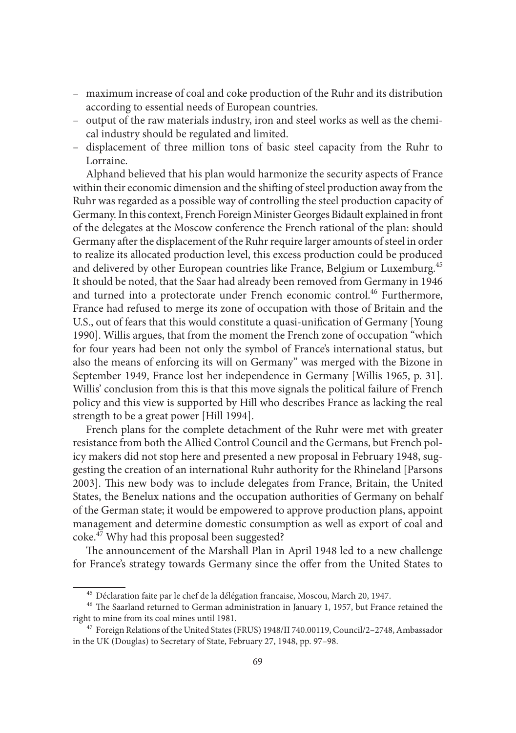- maximum increase of coal and coke production of the Ruhr and its distribution according to essential needs of European countries.
- output of the raw materials industry, iron and steel works as well as the chemical industry should be regulated and limited.
- displacement of three million tons of basic steel capacity from the Ruhr to Lorraine.

Alphand believed that his plan would harmonize the security aspects of France within their economic dimension and the shifting of steel production away from the Ruhr was regarded as a possible way of controlling the steel production capacity of Germany. In this context, French Foreign Minister Georges Bidault explained in front of the delegates at the Moscow conference the French rational of the plan: should Germany after the displacement of the Ruhr require larger amounts of steel in order to realize its allocated production level, this excess production could be produced and delivered by other European countries like France, Belgium or Luxemburg.<sup>45</sup> It should be noted, that the Saar had already been removed from Germany in 1946 and turned into a protectorate under French economic control.<sup>46</sup> Furthermore, France had refused to merge its zone of occupation with those of Britain and the U.S., out of fears that this would constitute a quasi-unification of Germany [Young 1990]. Willis argues, that from the moment the French zone of occupation "which for four years had been not only the symbol of France's international status, but also the means of enforcing its will on Germany" was merged with the Bizone in September 1949, France lost her independence in Germany [Willis 1965, p. 31]. Willis' conclusion from this is that this move signals the political failure of French policy and this view is supported by Hill who describes France as lacking the real strength to be a great power [Hill 1994].

French plans for the complete detachment of the Ruhr were met with greater resistance from both the Allied Control Council and the Germans, but French policy makers did not stop here and presented a new proposal in February 1948, suggesting the creation of an international Ruhr authority for the Rhineland [Parsons 2003]. This new body was to include delegates from France, Britain, the United States, the Benelux nations and the occupation authorities of Germany on behalf of the German state; it would be empowered to approve production plans, appoint management and determine domestic consumption as well as export of coal and coke.47 Why had this proposal been suggested?

The announcement of the Marshall Plan in April 1948 led to a new challenge for France's strategy towards Germany since the offer from the United States to

<sup>&</sup>lt;sup>45</sup> Déclaration faite par le chef de la délégation francaise, Moscou, March 20, 1947.<br><sup>46</sup> The Saarland returned to German administration in January 1, 1957, but France retained the right to mine from its coal mines until 1981. 47 Foreign Relations of the United States (FRUS) 1948/II 740.00119, Council/2–2748, Ambassador

in the UK (Douglas) to Secretary of State, February 27, 1948, pp. 97–98.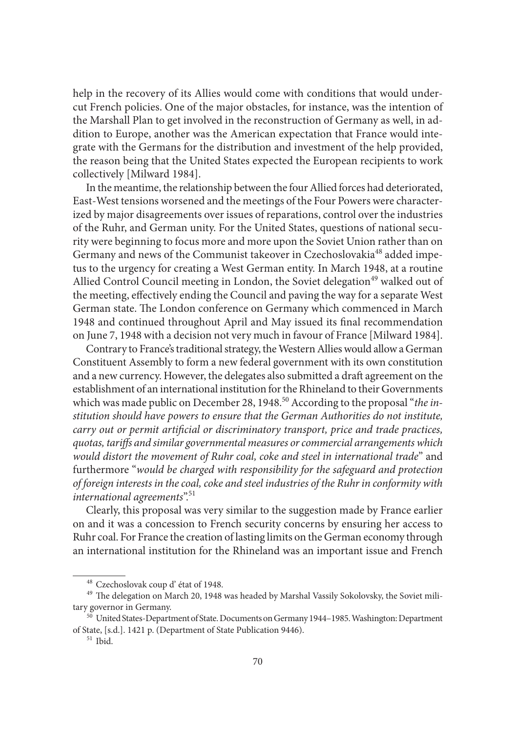help in the recovery of its Allies would come with conditions that would undercut French policies. One of the major obstacles, for instance, was the intention of the Marshall Plan to get involved in the reconstruction of Germany as well, in addition to Europe, another was the American expectation that France would integrate with the Germans for the distribution and investment of the help provided, the reason being that the United States expected the European recipients to work collectively [Milward 1984].

In the meantime, the relationship between the four Allied forces had deteriorated, East-West tensions worsened and the meetings of the Four Powers were characterized by major disagreements over issues of reparations, control over the industries of the Ruhr, and German unity. For the United States, questions of national security were beginning to focus more and more upon the Soviet Union rather than on Germany and news of the Communist takeover in Czechoslovakia<sup>48</sup> added impetus to the urgency for creating a West German entity. In March 1948, at a routine Allied Control Council meeting in London, the Soviet delegation<sup>49</sup> walked out of the meeting, effectively ending the Council and paving the way for a separate West German state. The London conference on Germany which commenced in March 1948 and continued throughout April and May issued its final recommendation on June 7, 1948 with a decision not very much in favour of France [Milward 1984].

Contrary to France's traditional strategy, the Western Allies would allow a German Constituent Assembly to form a new federal government with its own constitution and a new currency. However, the delegates also submitted a draft agreement on the establishment of an international institution for the Rhineland to their Governments which was made public on December 28, 1948.<sup>50</sup> According to the proposal "*the institution should have powers to ensure that the German Authorities do not institute, carry out or permit artificial or discriminatory transport, price and trade practices, quotas, tariff s and similar governmental measures or commercial arrangements which would distort the movement of Ruhr coal, coke and steel in international trade*" and furthermore "*would be charged with responsibility for the safeguard and protection of foreign interests in the coal, coke and steel industries of the Ruhr in conformity with international agreements*".<sup>51</sup>

Clearly, this proposal was very similar to the suggestion made by France earlier on and it was a concession to French security concerns by ensuring her access to Ruhr coal. For France the creation of lasting limits on the German economy through an international institution for the Rhineland was an important issue and French

 $^{48}$  Czechoslovak coup d' état of 1948. <br> $^{49}$  The delegation on March 20, 1948 was headed by Marshal Vassily Sokolovsky, the Soviet military governor in Germany. 50 United States-Department of State. Documents on Germany 1944–1985. Washington: Department

of State, [s.d.]. 1421 p. (Department of State Publication 9446). 51 Ibid.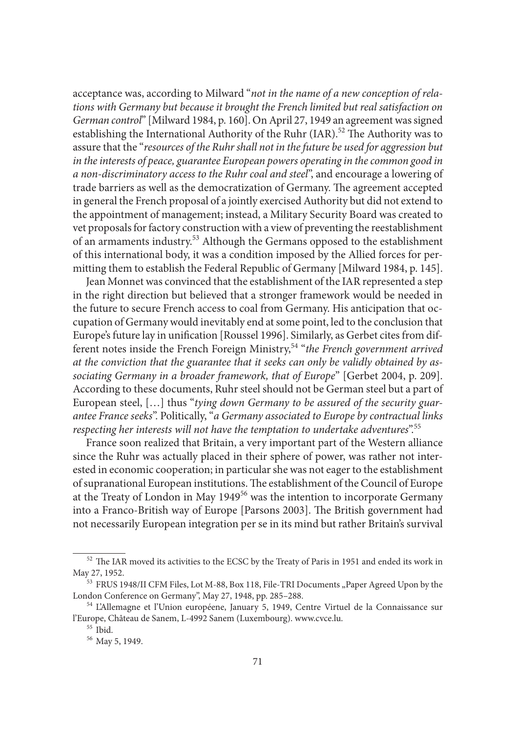acceptance was, according to Milward "*not in the name of a new conception of relations with Germany but because it brought the French limited but real satisfaction on German control*" [Milward 1984, p. 160]. On April 27, 1949 an agreement was signed establishing the International Authority of the Ruhr  $(IAR)$ .<sup>52</sup> The Authority was to assure that the "*resources of the Ruhr shall not in the future be used for aggression but in the interests of peace, guarantee European powers operating in the common good in a non-discriminatory access to the Ruhr coal and steel*", and encourage a lowering of trade barriers as well as the democratization of Germany. The agreement accepted in general the French proposal of a jointly exercised Authority but did not extend to the appointment of management; instead, a Military Security Board was created to vet proposals for factory construction with a view of preventing the reestablishment of an armaments industry.53 Although the Germans opposed to the establishment of this international body, it was a condition imposed by the Allied forces for permitting them to establish the Federal Republic of Germany [Milward 1984, p. 145].

Jean Monnet was convinced that the establishment of the IAR represented a step in the right direction but believed that a stronger framework would be needed in the future to secure French access to coal from Germany. His anticipation that occupation of Germany would inevitably end at some point, led to the conclusion that Europe's future lay in unification [Roussel 1996]. Similarly, as Gerbet cites from different notes inside the French Foreign Ministry,54 "*the French government arrived at the conviction that the guarantee that it seeks can only be validly obtained by associating Germany in a broader framework, that of Europe*" [Gerbet 2004, p. 209]. According to these documents, Ruhr steel should not be German steel but a part of European steel, […] thus "*tying down Germany to be assured of the security guarantee France seeks*". Politically, "*a Germany associated to Europe by contractual links respecting her interests will not have the temptation to undertake adventures*".55

France soon realized that Britain, a very important part of the Western alliance since the Ruhr was actually placed in their sphere of power, was rather not interested in economic cooperation; in particular she was not eager to the establishment of supranational European institutions. The establishment of the Council of Europe at the Treaty of London in May 194956 was the intention to incorporate Germany into a Franco-British way of Europe [Parsons 2003]. The British government had not necessarily European integration per se in its mind but rather Britain's survival

 $^{52}$  The IAR moved its activities to the ECSC by the Treaty of Paris in 1951 and ended its work in May 27, 1952.<br><sup>53</sup> FRUS 1948/II CFM Files, Lot M-88, Box 118, File-TRI Documents "Paper Agreed Upon by the

London Conference on Germany", May 27, 1948, pp. 285–288. 54 L'Allemagne et l'Union européene, January 5, 1949, Centre Virtuel de la Connaissance sur

l'Europe, Château de Sanem, L-4992 Sanem (Luxembourg). www.cvce.lu. 55 Ibid. 56 May 5, 1949.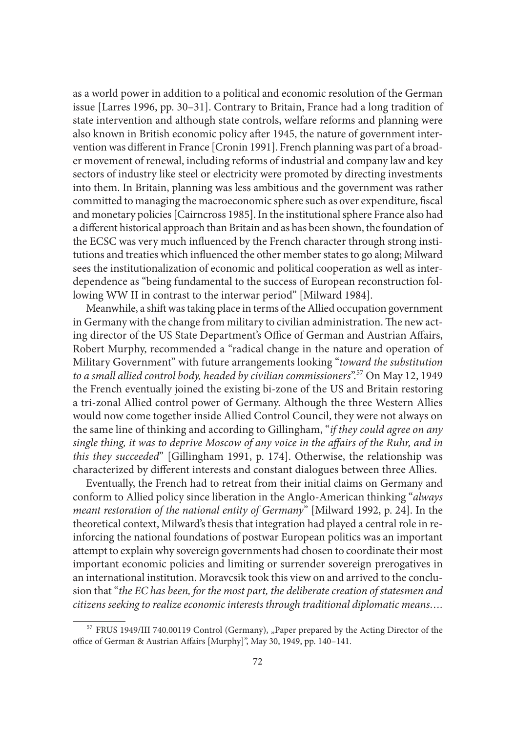as a world power in addition to a political and economic resolution of the German issue [Larres 1996, pp. 30–31]. Contrary to Britain, France had a long tradition of state intervention and although state controls, welfare reforms and planning were also known in British economic policy after 1945, the nature of government intervention was different in France [Cronin 1991]. French planning was part of a broader movement of renewal, including reforms of industrial and company law and key sectors of industry like steel or electricity were promoted by directing investments into them. In Britain, planning was less ambitious and the government was rather committed to managing the macroeconomic sphere such as over expenditure, fiscal and monetary policies [Cairncross 1985]. In the institutional sphere France also had a different historical approach than Britain and as has been shown, the foundation of the ECSC was very much influenced by the French character through strong institutions and treaties which influenced the other member states to go along; Milward sees the institutionalization of economic and political cooperation as well as interdependence as "being fundamental to the success of European reconstruction following WW II in contrast to the interwar period" [Milward 1984].

Meanwhile, a shift was taking place in terms of the Allied occupation government in Germany with the change from military to civilian administration. The new acting director of the US State Department's Office of German and Austrian Affairs, Robert Murphy, recommended a "radical change in the nature and operation of Military Government" with future arrangements looking "*toward the substitution to a small allied control body, headed by civilian commissioners*".57 On May 12, 1949 the French eventually joined the existing bi-zone of the US and Britain restoring a tri-zonal Allied control power of Germany. Although the three Western Allies would now come together inside Allied Control Council, they were not always on the same line of thinking and according to Gillingham, "*if they could agree on any single thing, it was to deprive Moscow of any voice in the affairs of the Ruhr, and in this they succeeded*" [Gillingham 1991, p. 174]. Otherwise, the relationship was characterized by different interests and constant dialogues between three Allies.

Eventually, the French had to retreat from their initial claims on Germany and conform to Allied policy since liberation in the Anglo-American thinking "*always meant restoration of the national entity of Germany*" [Milward 1992, p. 24]. In the theoretical context, Milward's thesis that integration had played a central role in reinforcing the national foundations of postwar European politics was an important attempt to explain why sovereign governments had chosen to coordinate their most important economic policies and limiting or surrender sovereign prerogatives in an international institution. Moravcsik took this view on and arrived to the conclusion that "*the EC has been, for the most part, the deliberate creation of statesmen and citizens seeking to realize economic interests through traditional diplomatic means….*

<sup>&</sup>lt;sup>57</sup> FRUS 1949/III 740.00119 Control (Germany), "Paper prepared by the Acting Director of the office of German & Austrian Affairs [Murphy]", May 30, 1949, pp. 140-141.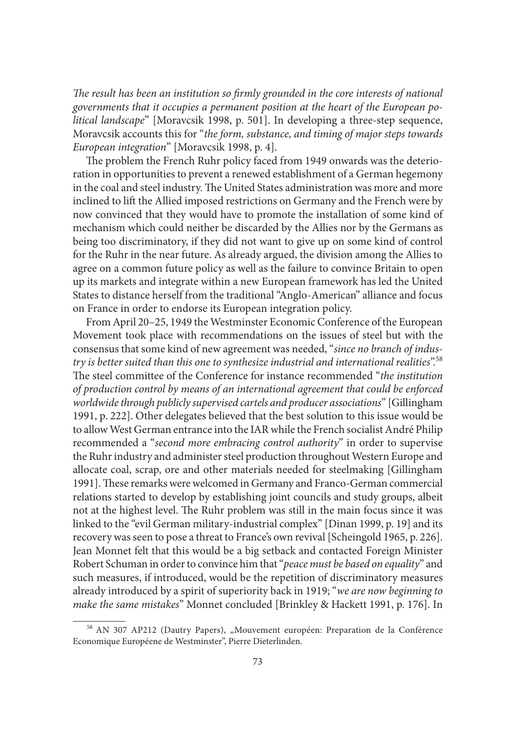The result has been an institution so firmly grounded in the core interests of national *governments that it occupies a permanent position at the heart of the European political landscape*" [Moravcsik 1998, p. 501]. In developing a three-step sequence, Moravcsik accounts this for "*the form, substance, and timing of major steps towards European integration*" [Moravcsik 1998, p. 4].

The problem the French Ruhr policy faced from 1949 onwards was the deterioration in opportunities to prevent a renewed establishment of a German hegemony in the coal and steel industry. The United States administration was more and more inclined to lift the Allied imposed restrictions on Germany and the French were by now convinced that they would have to promote the installation of some kind of mechanism which could neither be discarded by the Allies nor by the Germans as being too discriminatory, if they did not want to give up on some kind of control for the Ruhr in the near future. As already argued, the division among the Allies to agree on a common future policy as well as the failure to convince Britain to open up its markets and integrate within a new European framework has led the United States to distance herself from the traditional "Anglo-American" alliance and focus on France in order to endorse its European integration policy.

From April 20–25, 1949 the Westminster Economic Conference of the European Movement took place with recommendations on the issues of steel but with the consensus that some kind of new agreement was needed, "*since no branch of industry is better suited than this one to synthesize industrial and international realities*".58 The steel committee of the Conference for instance recommended "*the institution of production control by means of an international agreement that could be enforced worldwide through publicly supervised cartels and producer associations*" [Gillingham 1991, p. 222]. Other delegates believed that the best solution to this issue would be to allow West German entrance into the IAR while the French socialist André Philip recommended a "*second more embracing control authority*" in order to supervise the Ruhr industry and administer steel production throughout Western Europe and allocate coal, scrap, ore and other materials needed for steelmaking [Gillingham 1991]. These remarks were welcomed in Germany and Franco-German commercial relations started to develop by establishing joint councils and study groups, albeit not at the highest level. The Ruhr problem was still in the main focus since it was linked to the "evil German military-industrial complex" [Dinan 1999, p. 19] and its recovery was seen to pose a threat to France's own revival [Scheingold 1965, p. 226]. Jean Monnet felt that this would be a big setback and contacted Foreign Minister Robert Schuman in order to convince him that "*peace must be based on equality*" and such measures, if introduced, would be the repetition of discriminatory measures already introduced by a spirit of superiority back in 1919; "*we are now beginning to make the same mistakes*" Monnet concluded [Brinkley & Hackett 1991, p. 176]. In

<sup>&</sup>lt;sup>58</sup> AN 307 AP212 (Dautry Papers), "Mouvement européen: Preparation de la Conférence Economique Européene de Westminster", Pierre Dieterlinden.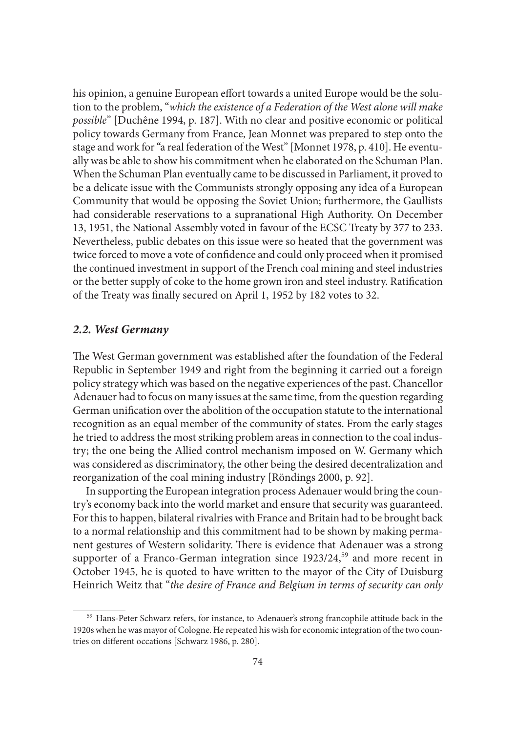his opinion, a genuine European effort towards a united Europe would be the solution to the problem, "*which the existence of a Federation of the West alone will make possible*" [Duchêne 1994, p. 187]. With no clear and positive economic or political policy towards Germany from France, Jean Monnet was prepared to step onto the stage and work for "a real federation of the West" [Monnet 1978, p. 410]. He eventually was be able to show his commitment when he elaborated on the Schuman Plan. When the Schuman Plan eventually came to be discussed in Parliament, it proved to be a delicate issue with the Communists strongly opposing any idea of a European Community that would be opposing the Soviet Union; furthermore, the Gaullists had considerable reservations to a supranational High Authority. On December 13, 1951, the National Assembly voted in favour of the ECSC Treaty by 377 to 233. Nevertheless, public debates on this issue were so heated that the government was twice forced to move a vote of confidence and could only proceed when it promised the continued investment in support of the French coal mining and steel industries or the better supply of coke to the home grown iron and steel industry. Ratification of the Treaty was finally secured on April 1, 1952 by 182 votes to 32.

#### *2.2. West Germany*

The West German government was established after the foundation of the Federal Republic in September 1949 and right from the beginning it carried out a foreign policy strategy which was based on the negative experiences of the past. Chancellor Adenauer had to focus on many issues at the same time, from the question regarding German unification over the abolition of the occupation statute to the international recognition as an equal member of the community of states. From the early stages he tried to address the most striking problem areas in connection to the coal industry; the one being the Allied control mechanism imposed on W. Germany which was considered as discriminatory, the other being the desired decentralization and reorganization of the coal mining industry [Röndings 2000, p. 92].

In supporting the European integration process Adenauer would bring the country's economy back into the world market and ensure that security was guaranteed. For this to happen, bilateral rivalries with France and Britain had to be brought back to a normal relationship and this commitment had to be shown by making permanent gestures of Western solidarity. There is evidence that Adenauer was a strong supporter of a Franco-German integration since 1923/24,<sup>59</sup> and more recent in October 1945, he is quoted to have written to the mayor of the City of Duisburg Heinrich Weitz that "*the desire of France and Belgium in terms of security can only* 

<sup>&</sup>lt;sup>59</sup> Hans-Peter Schwarz refers, for instance, to Adenauer's strong francophile attitude back in the 1920s when he was mayor of Cologne. He repeated his wish for economic integration of the two countries on different occations [Schwarz 1986, p. 280].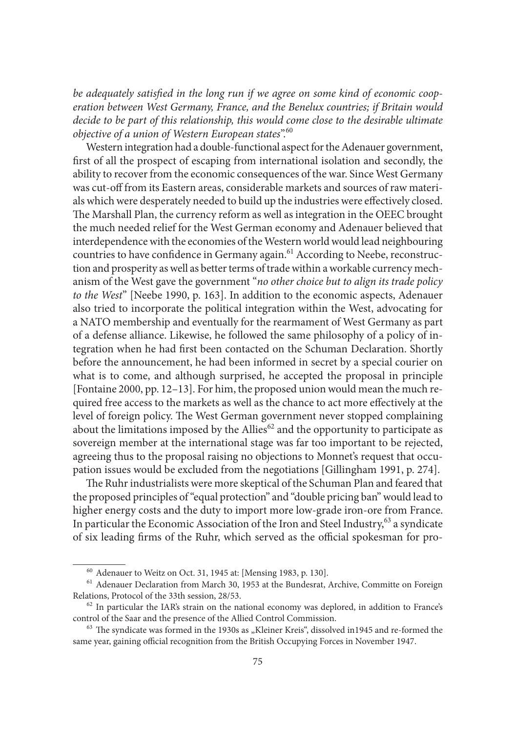be adequately satisfied in the long run if we agree on some kind of economic coop*eration between West Germany, France, and the Benelux countries; if Britain would decide to be part of this relationship, this would come close to the desirable ultimate objective of a union of Western European states*".60

Western integration had a double-functional aspect for the Adenauer government, first of all the prospect of escaping from international isolation and secondly, the ability to recover from the economic consequences of the war. Since West Germany was cut-off from its Eastern areas, considerable markets and sources of raw materials which were desperately needed to build up the industries were effectively closed. The Marshall Plan, the currency reform as well as integration in the OEEC brought the much needed relief for the West German economy and Adenauer believed that interdependence with the economies of the Western world would lead neighbouring countries to have confidence in Germany again.<sup>61</sup> According to Neebe, reconstruction and prosperity as well as better terms of trade within a workable currency mechanism of the West gave the government "*no other choice but to align its trade policy to the West*" [Neebe 1990, p. 163]. In addition to the economic aspects, Adenauer also tried to incorporate the political integration within the West, advocating for a NATO membership and eventually for the rearmament of West Germany as part of a defense alliance. Likewise, he followed the same philosophy of a policy of integration when he had first been contacted on the Schuman Declaration. Shortly before the announcement, he had been informed in secret by a special courier on what is to come, and although surprised, he accepted the proposal in principle [Fontaine 2000, pp. 12–13]. For him, the proposed union would mean the much required free access to the markets as well as the chance to act more effectively at the level of foreign policy. The West German government never stopped complaining about the limitations imposed by the Allies<sup>62</sup> and the opportunity to participate as sovereign member at the international stage was far too important to be rejected, agreeing thus to the proposal raising no objections to Monnet's request that occupation issues would be excluded from the negotiations [Gillingham 1991, p. 274].

The Ruhr industrialists were more skeptical of the Schuman Plan and feared that the proposed principles of "equal protection" and "double pricing ban" would lead to higher energy costs and the duty to import more low-grade iron-ore from France. In particular the Economic Association of the Iron and Steel Industry,<sup>63</sup> a syndicate of six leading firms of the Ruhr, which served as the official spokesman for pro-

<sup>&</sup>lt;sup>60</sup> Adenauer to Weitz on Oct. 31, 1945 at: [Mensing 1983, p. 130].<br><sup>61</sup> Adenauer Declaration from March 30, 1953 at the Bundesrat, Archive, Committe on Foreign Relations, Protocol of the 33th session, 28/53.<br><sup>62</sup> In particular the IAR's strain on the national economy was deplored, in addition to France's

control of the Saar and the presence of the Allied Control Commission.<br><sup>63</sup> The syndicate was formed in the 1930s as "Kleiner Kreis", dissolved in1945 and re-formed the

same year, gaining official recognition from the British Occupying Forces in November 1947.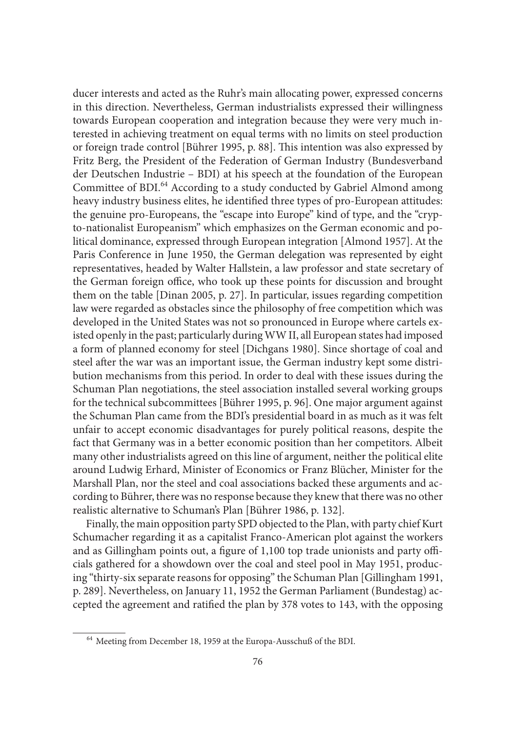ducer interests and acted as the Ruhr's main allocating power, expressed concerns in this direction. Nevertheless, German industrialists expressed their willingness towards European cooperation and integration because they were very much interested in achieving treatment on equal terms with no limits on steel production or foreign trade control [Bührer 1995, p. 88]. This intention was also expressed by Fritz Berg, the President of the Federation of German Industry (Bundesverband der Deutschen Industrie – BDI) at his speech at the foundation of the European Committee of BDI.<sup>64</sup> According to a study conducted by Gabriel Almond among heavy industry business elites, he identified three types of pro-European attitudes: the genuine pro-Europeans, the "escape into Europe" kind of type, and the "crypto-nationalist Europeanism" which emphasizes on the German economic and political dominance, expressed through European integration [Almond 1957]. At the Paris Conference in June 1950, the German delegation was represented by eight representatives, headed by Walter Hallstein, a law professor and state secretary of the German foreign office, who took up these points for discussion and brought them on the table [Dinan 2005, p. 27]. In particular, issues regarding competition law were regarded as obstacles since the philosophy of free competition which was developed in the United States was not so pronounced in Europe where cartels existed openly in the past; particularly during WW II, all European states had imposed a form of planned economy for steel [Dichgans 1980]. Since shortage of coal and steel after the war was an important issue, the German industry kept some distribution mechanisms from this period. In order to deal with these issues during the Schuman Plan negotiations, the steel association installed several working groups for the technical subcommittees [Bührer 1995, p. 96]. One major argument against the Schuman Plan came from the BDI's presidential board in as much as it was felt unfair to accept economic disadvantages for purely political reasons, despite the fact that Germany was in a better economic position than her competitors. Albeit many other industrialists agreed on this line of argument, neither the political elite around Ludwig Erhard, Minister of Economics or Franz Blücher, Minister for the Marshall Plan, nor the steel and coal associations backed these arguments and according to Bührer, there was no response because they knew that there was no other realistic alternative to Schuman's Plan [Bührer 1986, p. 132].

Finally, the main opposition party SPD objected to the Plan, with party chief Kurt Schumacher regarding it as a capitalist Franco-American plot against the workers and as Gillingham points out, a figure of  $1,100$  top trade unionists and party officials gathered for a showdown over the coal and steel pool in May 1951, producing "thirty-six separate reasons for opposing" the Schuman Plan [Gillingham 1991, p. 289]. Nevertheless, on January 11, 1952 the German Parliament (Bundestag) accepted the agreement and ratified the plan by 378 votes to 143, with the opposing

 <sup>64</sup> Meeting from December 18, 1959 at the Europa-Ausschuß of the BDI.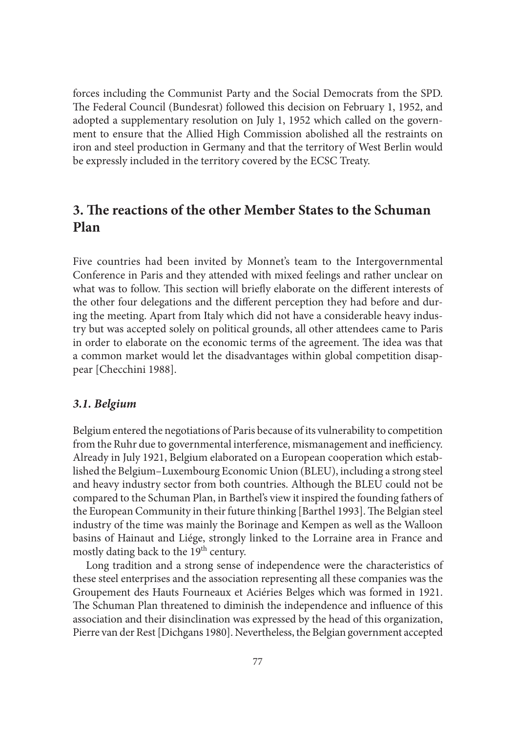forces including the Communist Party and the Social Democrats from the SPD. The Federal Council (Bundesrat) followed this decision on February 1, 1952, and adopted a supplementary resolution on July 1, 1952 which called on the government to ensure that the Allied High Commission abolished all the restraints on iron and steel production in Germany and that the territory of West Berlin would be expressly included in the territory covered by the ECSC Treaty.

# **3. The reactions of the other Member States to the Schuman Plan**

Five countries had been invited by Monnet's team to the Intergovernmental Conference in Paris and they attended with mixed feelings and rather unclear on what was to follow. This section will briefly elaborate on the different interests of the other four delegations and the different perception they had before and during the meeting. Apart from Italy which did not have a considerable heavy industry but was accepted solely on political grounds, all other attendees came to Paris in order to elaborate on the economic terms of the agreement. The idea was that a common market would let the disadvantages within global competition disappear [Checchini 1988].

#### *3.1. Belgium*

Belgium entered the negotiations of Paris because of its vulnerability to competition from the Ruhr due to governmental interference, mismanagement and inefficiency. Already in July 1921, Belgium elaborated on a European cooperation which established the Belgium–Luxembourg Economic Union (BLEU), including a strong steel and heavy industry sector from both countries. Although the BLEU could not be compared to the Schuman Plan, in Barthel's view it inspired the founding fathers of the European Community in their future thinking [Barthel 1993]. The Belgian steel industry of the time was mainly the Borinage and Kempen as well as the Walloon basins of Hainaut and Liége, strongly linked to the Lorraine area in France and mostly dating back to the 19<sup>th</sup> century.

Long tradition and a strong sense of independence were the characteristics of these steel enterprises and the association representing all these companies was the Groupement des Hauts Fourneaux et Aciéries Belges which was formed in 1921. The Schuman Plan threatened to diminish the independence and influence of this association and their disinclination was expressed by the head of this organization, Pierre van der Rest [Dichgans 1980]. Nevertheless, the Belgian government accepted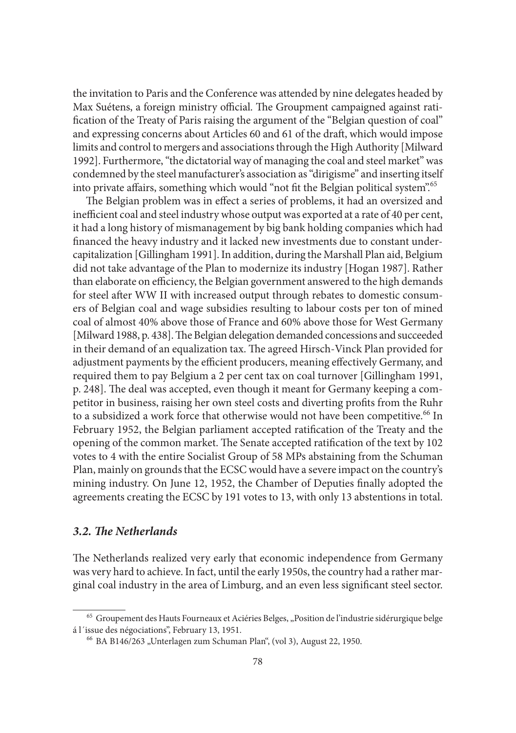the invitation to Paris and the Conference was attended by nine delegates headed by Max Suétens, a foreign ministry official. The Groupment campaigned against ratification of the Treaty of Paris raising the argument of the "Belgian question of coal" and expressing concerns about Articles 60 and 61 of the draft, which would impose limits and control to mergers and associations through the High Authority [Milward 1992]. Furthermore, "the dictatorial way of managing the coal and steel market" was condemned by the steel manufacturer's association as "dirigisme" and inserting itself into private affairs, something which would "not fit the Belgian political system".<sup>65</sup>

The Belgian problem was in effect a series of problems, it had an oversized and inefficient coal and steel industry whose output was exported at a rate of 40 per cent, it had a long history of mismanagement by big bank holding companies which had financed the heavy industry and it lacked new investments due to constant undercapitalization [Gillingham 1991]. In addition, during the Marshall Plan aid, Belgium did not take advantage of the Plan to modernize its industry [Hogan 1987]. Rather than elaborate on efficiency, the Belgian government answered to the high demands for steel after WW II with increased output through rebates to domestic consumers of Belgian coal and wage subsidies resulting to labour costs per ton of mined coal of almost 40% above those of France and 60% above those for West Germany [Milward 1988, p. 438]. The Belgian delegation demanded concessions and succeeded in their demand of an equalization tax. The agreed Hirsch-Vinck Plan provided for adjustment payments by the efficient producers, meaning effectively Germany, and required them to pay Belgium a 2 per cent tax on coal turnover [Gillingham 1991, p. 248]. The deal was accepted, even though it meant for Germany keeping a competitor in business, raising her own steel costs and diverting profits from the Ruhr to a subsidized a work force that otherwise would not have been competitive.<sup>66</sup> In February 1952, the Belgian parliament accepted ratification of the Treaty and the opening of the common market. The Senate accepted ratification of the text by 102 votes to 4 with the entire Socialist Group of 58 MPs abstaining from the Schuman Plan, mainly on grounds that the ECSC would have a severe impact on the country's mining industry. On June 12, 1952, the Chamber of Deputies finally adopted the agreements creating the ECSC by 191 votes to 13, with only 13 abstentions in total.

### 3.2. The Netherlands

The Netherlands realized very early that economic independence from Germany was very hard to achieve. In fact, until the early 1950s, the country had a rather marginal coal industry in the area of Limburg, and an even less significant steel sector.

<sup>&</sup>lt;sup>65</sup> Groupement des Hauts Fourneaux et Aciéries Belges, "Position de l'industrie sidérurgique belge á l´issue des négociations", February 13, 1951. 66 BA B146/263 "Unterlagen zum Schuman Plan", (vol 3), August 22, 1950.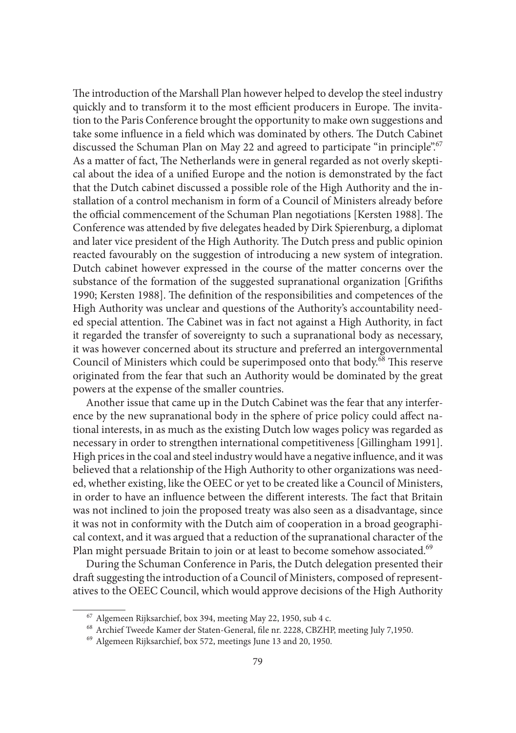The introduction of the Marshall Plan however helped to develop the steel industry quickly and to transform it to the most efficient producers in Europe. The invitation to the Paris Conference brought the opportunity to make own suggestions and take some influence in a field which was dominated by others. The Dutch Cabinet discussed the Schuman Plan on May 22 and agreed to participate "in principle".<sup>67</sup> As a matter of fact, The Netherlands were in general regarded as not overly skeptical about the idea of a unified Europe and the notion is demonstrated by the fact that the Dutch cabinet discussed a possible role of the High Authority and the installation of a control mechanism in form of a Council of Ministers already before the official commencement of the Schuman Plan negotiations [Kersten 1988]. The Conference was attended by five delegates headed by Dirk Spierenburg, a diplomat and later vice president of the High Authority. The Dutch press and public opinion reacted favourably on the suggestion of introducing a new system of integration. Dutch cabinet however expressed in the course of the matter concerns over the substance of the formation of the suggested supranational organization [Grifiths 1990; Kersten 1988]. The definition of the responsibilities and competences of the High Authority was unclear and questions of the Authority's accountability needed special attention. The Cabinet was in fact not against a High Authority, in fact it regarded the transfer of sovereignty to such a supranational body as necessary, it was however concerned about its structure and preferred an intergovernmental Council of Ministers which could be superimposed onto that body.<sup>68</sup> This reserve originated from the fear that such an Authority would be dominated by the great powers at the expense of the smaller countries.

Another issue that came up in the Dutch Cabinet was the fear that any interference by the new supranational body in the sphere of price policy could affect national interests, in as much as the existing Dutch low wages policy was regarded as necessary in order to strengthen international competitiveness [Gillingham 1991]. High prices in the coal and steel industry would have a negative influence, and it was believed that a relationship of the High Authority to other organizations was needed, whether existing, like the OEEC or yet to be created like a Council of Ministers, in order to have an influence between the different interests. The fact that Britain was not inclined to join the proposed treaty was also seen as a disadvantage, since it was not in conformity with the Dutch aim of cooperation in a broad geographical context, and it was argued that a reduction of the supranational character of the Plan might persuade Britain to join or at least to become somehow associated.<sup>69</sup>

During the Schuman Conference in Paris, the Dutch delegation presented their draft suggesting the introduction of a Council of Ministers, composed of representatives to the OEEC Council, which would approve decisions of the High Authority

 $^{67}$  Algemeen Rijksarchief, box 394, meeting May 22, 1950, sub 4 c.  $^{68}$  Archief Tweede Kamer der Staten-General, file nr. 2228, CBZHP, meeting July 7,1950.  $^{69}$  Algemeen Rijksarchief, box 572, meetings June 13 and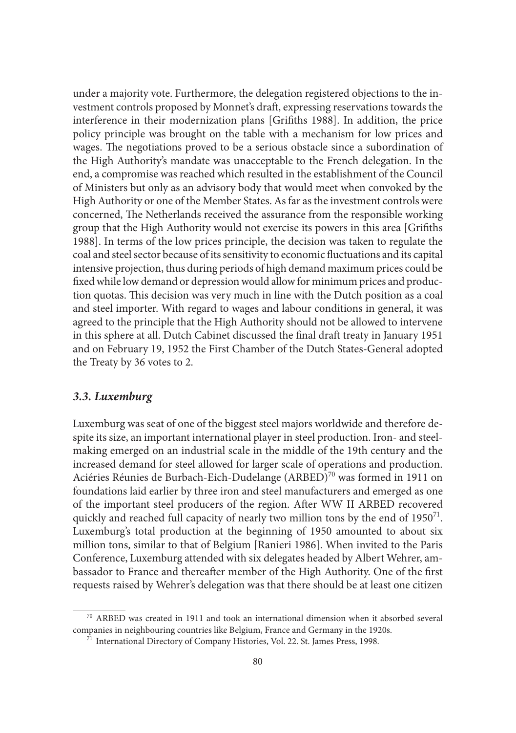under a majority vote. Furthermore, the delegation registered objections to the investment controls proposed by Monnet's draft, expressing reservations towards the interference in their modernization plans [Grifiths 1988]. In addition, the price policy principle was brought on the table with a mechanism for low prices and wages. The negotiations proved to be a serious obstacle since a subordination of the High Authority's mandate was unacceptable to the French delegation. In the end, a compromise was reached which resulted in the establishment of the Council of Ministers but only as an advisory body that would meet when convoked by the High Authority or one of the Member States. As far as the investment controls were concerned, The Netherlands received the assurance from the responsible working group that the High Authority would not exercise its powers in this area [Grifiths] 1988]. In terms of the low prices principle, the decision was taken to regulate the coal and steel sector because of its sensitivity to economic fluctuations and its capital intensive projection, thus during periods of high demand maximum prices could be fixed while low demand or depression would allow for minimum prices and production quotas. This decision was very much in line with the Dutch position as a coal and steel importer. With regard to wages and labour conditions in general, it was agreed to the principle that the High Authority should not be allowed to intervene in this sphere at all. Dutch Cabinet discussed the final draft treaty in January 1951 and on February 19, 1952 the First Chamber of the Dutch States-General adopted the Treaty by 36 votes to 2.

#### *3.3. Luxemburg*

Luxemburg was seat of one of the biggest steel majors worldwide and therefore despite its size, an important international player in steel production. Iron- and steelmaking emerged on an industrial scale in the middle of the 19th century and the increased demand for steel allowed for larger scale of operations and production. Aciéries Réunies de Burbach-Eich-Dudelange (ARBED)<sup>70</sup> was formed in 1911 on foundations laid earlier by three iron and steel manufacturers and emerged as one of the important steel producers of the region. After WW II ARBED recovered quickly and reached full capacity of nearly two million tons by the end of 1950<sup>71</sup>. Luxemburg's total production at the beginning of 1950 amounted to about six million tons, similar to that of Belgium [Ranieri 1986]. When invited to the Paris Conference, Luxemburg attended with six delegates headed by Albert Wehrer, ambassador to France and thereafter member of the High Authority. One of the first requests raised by Wehrer's delegation was that there should be at least one citizen

 <sup>70</sup> ARBED was created in 1911 and took an international dimension when it absorbed several companies in neighbouring countries like Belgium, France and Germany in the 1920s. 71 International Directory of Company Histories, Vol. 22. St. James Press, 1998.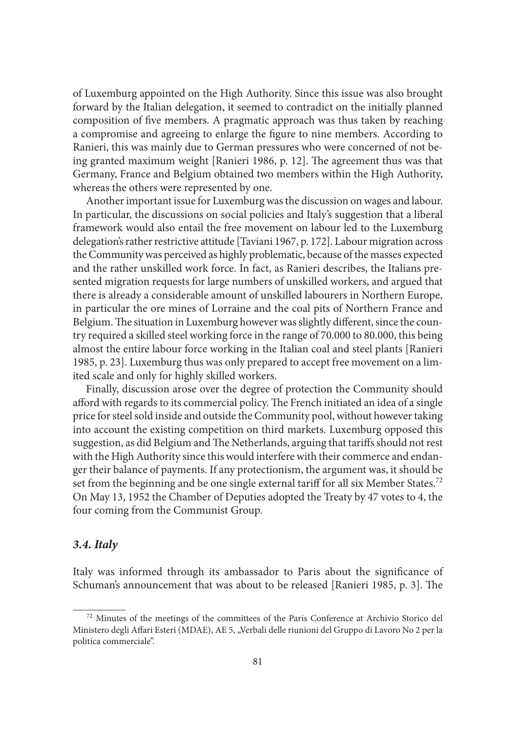of Luxemburg appointed on the High Authority. Since this issue was also brought forward by the Italian delegation, it seemed to contradict on the initially planned composition of five members. A pragmatic approach was thus taken by reaching a compromise and agreeing to enlarge the figure to nine members. According to Ranieri, this was mainly due to German pressures who were concerned of not being granted maximum weight [Ranieri 1986, p. 12]. The agreement thus was that Germany, France and Belgium obtained two members within the High Authority, whereas the others were represented by one.

Another important issue for Luxemburg was the discussion on wages and labour. In particular, the discussions on social policies and Italy's suggestion that a liberal framework would also entail the free movement on labour led to the Luxemburg delegation's rather restrictive attitude [Taviani 1967, p. 172]. Labour migration across the Community was perceived as highly problematic, because of the masses expected and the rather unskilled work force. In fact, as Ranieri describes, the Italians presented migration requests for large numbers of unskilled workers, and argued that there is already a considerable amount of unskilled labourers in Northern Europe, in particular the ore mines of Lorraine and the coal pits of Northern France and Belgium. The situation in Luxemburg however was slightly different, since the country required a skilled steel working force in the range of 70.000 to 80.000, this being almost the entire labour force working in the Italian coal and steel plants [Ranieri 1985, p. 23]. Luxemburg thus was only prepared to accept free movement on a limited scale and only for highly skilled workers.

Finally, discussion arose over the degree of protection the Community should afford with regards to its commercial policy. The French initiated an idea of a single price for steel sold inside and outside the Community pool, without however taking into account the existing competition on third markets. Luxemburg opposed this suggestion, as did Belgium and The Netherlands, arguing that tariffs should not rest with the High Authority since this would interfere with their commerce and endanger their balance of payments. If any protectionism, the argument was, it should be set from the beginning and be one single external tariff for all six Member States.<sup>72</sup> On May 13, 1952 the Chamber of Deputies adopted the Treaty by 47 votes to 4, the four coming from the Communist Group.

#### *3.4. Italy*

Italy was informed through its ambassador to Paris about the significance of Schuman's announcement that was about to be released [Ranieri 1985, p. 3]. The

 <sup>72</sup> Minutes of the meetings of the committees of the Paris Conference at Archivio Storico del Ministero degli Affari Esteri (MDAE), AE 5, "Verbali delle riunioni del Gruppo di Lavoro No 2 per la politica commerciale".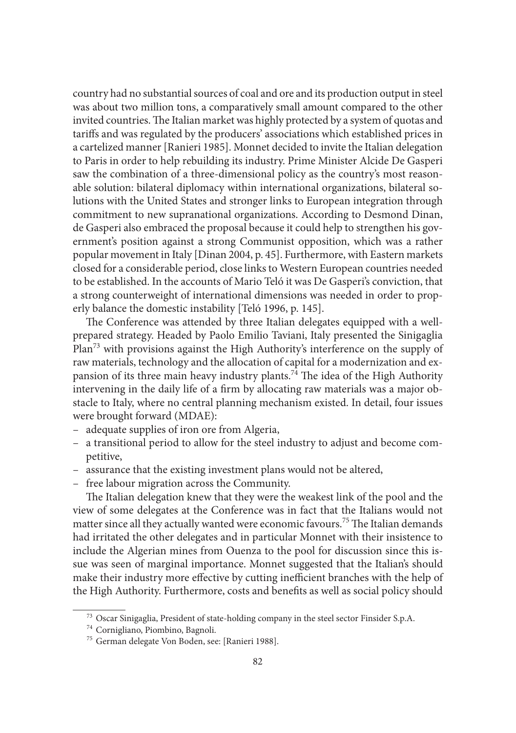country had no substantial sources of coal and ore and its production output in steel was about two million tons, a comparatively small amount compared to the other invited countries. The Italian market was highly protected by a system of quotas and tariffs and was regulated by the producers' associations which established prices in a cartelized manner [Ranieri 1985]. Monnet decided to invite the Italian delegation to Paris in order to help rebuilding its industry. Prime Minister Alcide De Gasperi saw the combination of a three-dimensional policy as the country's most reasonable solution: bilateral diplomacy within international organizations, bilateral solutions with the United States and stronger links to European integration through commitment to new supranational organizations. According to Desmond Dinan, de Gasperi also embraced the proposal because it could help to strengthen his government's position against a strong Communist opposition, which was a rather popular movement in Italy [Dinan 2004, p. 45]. Furthermore, with Eastern markets closed for a considerable period, close links to Western European countries needed to be established. In the accounts of Mario Teló it was De Gasperi's conviction, that a strong counterweight of international dimensions was needed in order to properly balance the domestic instability [Teló 1996, p. 145].

The Conference was attended by three Italian delegates equipped with a wellprepared strategy. Headed by Paolo Emilio Taviani, Italy presented the Sinigaglia Plan<sup>73</sup> with provisions against the High Authority's interference on the supply of raw materials, technology and the allocation of capital for a modernization and expansion of its three main heavy industry plants.<sup>74</sup> The idea of the High Authority intervening in the daily life of a firm by allocating raw materials was a major obstacle to Italy, where no central planning mechanism existed. In detail, four issues were brought forward (MDAE):

- adequate supplies of iron ore from Algeria,
- a transitional period to allow for the steel industry to adjust and become competitive,
- assurance that the existing investment plans would not be altered,
- free labour migration across the Community.

The Italian delegation knew that they were the weakest link of the pool and the view of some delegates at the Conference was in fact that the Italians would not matter since all they actually wanted were economic favours.<sup>75</sup> The Italian demands had irritated the other delegates and in particular Monnet with their insistence to include the Algerian mines from Ouenza to the pool for discussion since this issue was seen of marginal importance. Monnet suggested that the Italian's should make their industry more effective by cutting inefficient branches with the help of the High Authority. Furthermore, costs and benefits as well as social policy should

<sup>&</sup>lt;sup>73</sup> Oscar Sinigaglia, President of state-holding company in the steel sector Finsider S.p.A.  $^{74}$  Cornigliano, Piombino, Bagnoli.  $^{75}$  German delegate Von Boden, see: [Ranieri 1988].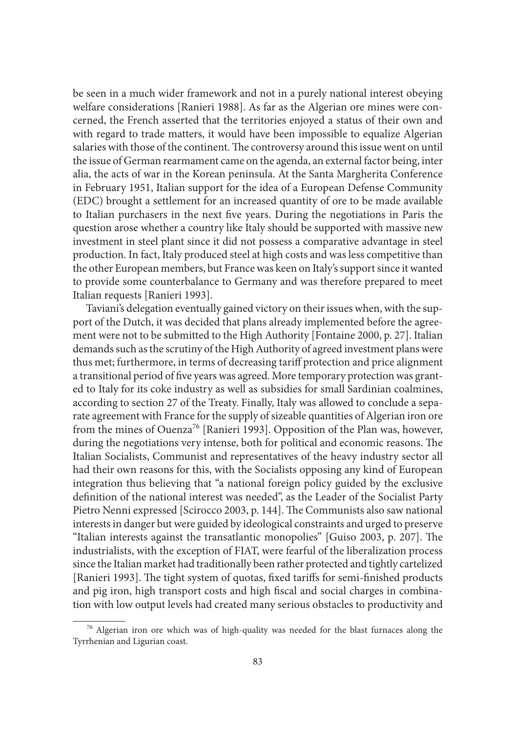be seen in a much wider framework and not in a purely national interest obeying welfare considerations [Ranieri 1988]. As far as the Algerian ore mines were concerned, the French asserted that the territories enjoyed a status of their own and with regard to trade matters, it would have been impossible to equalize Algerian salaries with those of the continent. The controversy around this issue went on until the issue of German rearmament came on the agenda, an external factor being, inter alia, the acts of war in the Korean peninsula. At the Santa Margherita Conference in February 1951, Italian support for the idea of a European Defense Community (EDC) brought a settlement for an increased quantity of ore to be made available to Italian purchasers in the next five years. During the negotiations in Paris the question arose whether a country like Italy should be supported with massive new investment in steel plant since it did not possess a comparative advantage in steel production. In fact, Italy produced steel at high costs and was less competitive than the other European members, but France was keen on Italy's support since it wanted to provide some counterbalance to Germany and was therefore prepared to meet Italian requests [Ranieri 1993].

Taviani's delegation eventually gained victory on their issues when, with the support of the Dutch, it was decided that plans already implemented before the agreement were not to be submitted to the High Authority [Fontaine 2000, p. 27]. Italian demands such as the scrutiny of the High Authority of agreed investment plans were thus met; furthermore, in terms of decreasing tariff protection and price alignment a transitional period of five years was agreed. More temporary protection was granted to Italy for its coke industry as well as subsidies for small Sardinian coalmines, according to section 27 of the Treaty. Finally, Italy was allowed to conclude a separate agreement with France for the supply of sizeable quantities of Algerian iron ore from the mines of Ouenza<sup>76</sup> [Ranieri 1993]. Opposition of the Plan was, however, during the negotiations very intense, both for political and economic reasons. The Italian Socialists, Communist and representatives of the heavy industry sector all had their own reasons for this, with the Socialists opposing any kind of European integration thus believing that "a national foreign policy guided by the exclusive definition of the national interest was needed", as the Leader of the Socialist Party Pietro Nenni expressed [Scirocco 2003, p. 144]. The Communists also saw national interests in danger but were guided by ideological constraints and urged to preserve "Italian interests against the transatlantic monopolies" [Guiso 2003, p. 207]. The industrialists, with the exception of FIAT, were fearful of the liberalization process since the Italian market had traditionally been rather protected and tightly cartelized [Ranieri 1993]. The tight system of quotas, fixed tariffs for semi-finished products and pig iron, high transport costs and high fiscal and social charges in combination with low output levels had created many serious obstacles to productivity and

 <sup>76</sup> Algerian iron ore which was of high-quality was needed for the blast furnaces along the Tyrrhenian and Ligurian coast.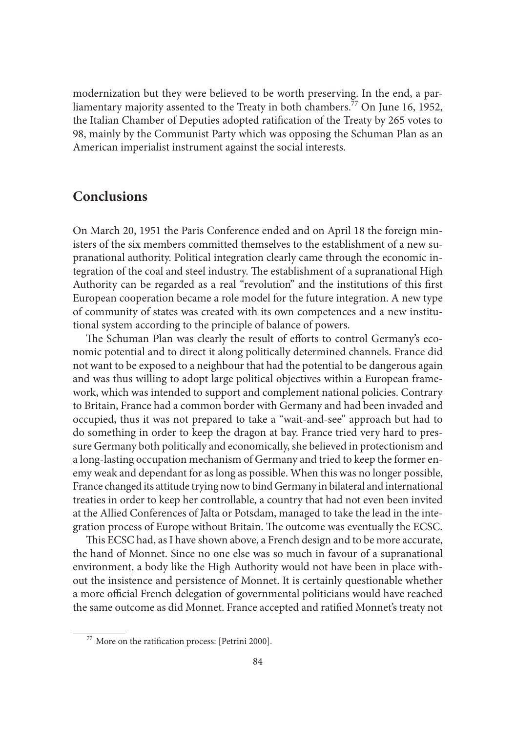modernization but they were believed to be worth preserving. In the end, a parliamentary majority assented to the Treaty in both chambers.<sup>77</sup> On June 16, 1952, the Italian Chamber of Deputies adopted ratification of the Treaty by 265 votes to 98, mainly by the Communist Party which was opposing the Schuman Plan as an American imperialist instrument against the social interests.

## **Conclusions**

On March 20, 1951 the Paris Conference ended and on April 18 the foreign ministers of the six members committed themselves to the establishment of a new supranational authority. Political integration clearly came through the economic integration of the coal and steel industry. The establishment of a supranational High Authority can be regarded as a real "revolution" and the institutions of this first European cooperation became a role model for the future integration. A new type of community of states was created with its own competences and a new institutional system according to the principle of balance of powers.

The Schuman Plan was clearly the result of efforts to control Germany's economic potential and to direct it along politically determined channels. France did not want to be exposed to a neighbour that had the potential to be dangerous again and was thus willing to adopt large political objectives within a European framework, which was intended to support and complement national policies. Contrary to Britain, France had a common border with Germany and had been invaded and occupied, thus it was not prepared to take a "wait-and-see" approach but had to do something in order to keep the dragon at bay. France tried very hard to pressure Germany both politically and economically, she believed in protectionism and a long-lasting occupation mechanism of Germany and tried to keep the former enemy weak and dependant for as long as possible. When this was no longer possible, France changed its attitude trying now to bind Germany in bilateral and international treaties in order to keep her controllable, a country that had not even been invited at the Allied Conferences of Jalta or Potsdam, managed to take the lead in the integration process of Europe without Britain. The outcome was eventually the ECSC.

This ECSC had, as I have shown above, a French design and to be more accurate, the hand of Monnet. Since no one else was so much in favour of a supranational environment, a body like the High Authority would not have been in place without the insistence and persistence of Monnet. It is certainly questionable whether a more official French delegation of governmental politicians would have reached the same outcome as did Monnet. France accepted and ratified Monnet's treaty not

 $77$  More on the ratification process: [Petrini 2000].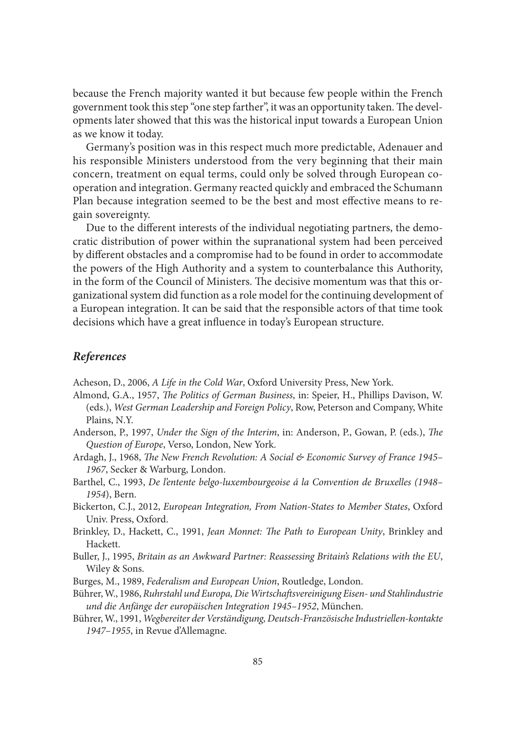because the French majority wanted it but because few people within the French government took this step "one step farther", it was an opportunity taken. The developments later showed that this was the historical input towards a European Union as we know it today.

Germany's position was in this respect much more predictable, Adenauer and his responsible Ministers understood from the very beginning that their main concern, treatment on equal terms, could only be solved through European cooperation and integration. Germany reacted quickly and embraced the Schumann Plan because integration seemed to be the best and most effective means to regain sovereignty.

Due to the different interests of the individual negotiating partners, the democratic distribution of power within the supranational system had been perceived by different obstacles and a compromise had to be found in order to accommodate the powers of the High Authority and a system to counterbalance this Authority, in the form of the Council of Ministers. The decisive momentum was that this organizational system did function as a role model for the continuing development of a European integration. It can be said that the responsible actors of that time took decisions which have a great influence in today's European structure.

#### *References*

Acheson, D., 2006, *A Life in the Cold War*, Oxford University Press, New York.

- Almond, G.A., 1957, *The Politics of German Business*, in: Speier, H., Phillips Davison, W. (eds.), *West German Leadership and Foreign Policy*, Row, Peterson and Company, White Plains, N.Y.
- Anderson, P., 1997, *Under the Sign of the Interim*, in: Anderson, P., Gowan, P. (eds.), *The Question of Europe*, Verso, London, New York.
- Ardagh, J., 1968, *The New French Revolution: A Social & Economic Survey of France 1945– 1967*, Secker & Warburg, London.
- Barthel, C., 1993, *De l'entente belgo-luxembourgeoise á la Convention de Bruxelles (1948– 1954*), Bern.
- Bickerton, C.J., 2012, *European Integration, From Nation-States to Member States*, Oxford Univ. Press, Oxford.
- Brinkley, D., Hackett, C., 1991, *Jean Monnet: The Path to European Unity*, Brinkley and Hackett.
- Buller, J., 1995, *Britain as an Awkward Partner: Reassessing Britain's Relations with the EU*, Wiley & Sons.
- Burges, M., 1989, *Federalism and European Union*, Routledge, London.
- Bührer, W., 1986, *Ruhrstahl und Europa, Die Wirtschaft svereinigung Eisen- und Stahlindustrie und die Anfänge der europäischen Integration 1945–1952*, München.
- Bührer, W., 1991, *Wegbereiter der Verständigung, Deutsch-Französische Industriellen-kontakte 1947–1955*, in Revue d'Allemagne.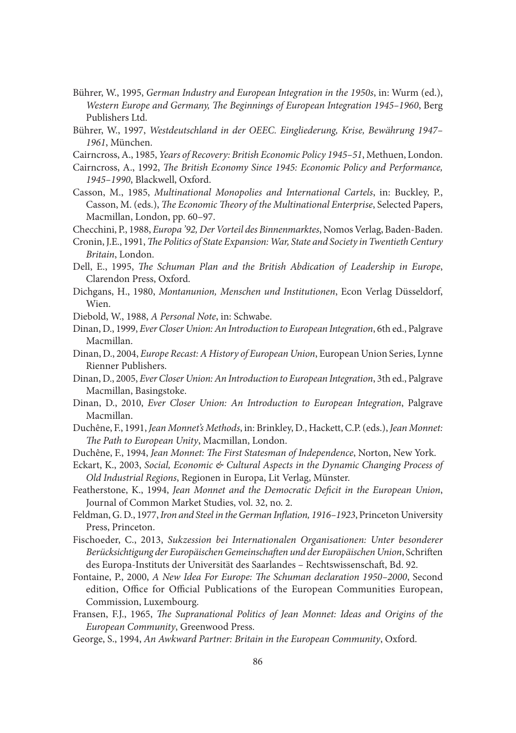- Bührer, W., 1995, *German Industry and European Integration in the 1950s*, in: Wurm (ed.), *Western Europe and Germany, The Beginnings of European Integration 1945–1960, Berg* Publishers Ltd.
- Bührer, W., 1997, *Westdeutschland in der OEEC. Eingliederung, Krise, Bewährung 1947– 1961*, München.
- Cairncross, A., 1985, *Years of Recovery: British Economic Policy 1945–51*, Methuen, London.
- Cairncross, A., 1992, *The British Economy Since 1945: Economic Policy and Performance*, *1945–1990*, Blackwell, Oxford.
- Casson, M., 1985, *Multinational Monopolies and International Cartels*, in: Buckley, P., Casson, M. (eds.), *The Economic Theory of the Multinational Enterprise*, Selected Papers, Macmillan, London, pp. 60–97.

Checchini, P., 1988, *Europa '92, Der Vorteil des Binnenmarktes*, Nomos Verlag, Baden-Baden.

- Cronin, J.E., 1991, *The Politics of State Expansion: War, State and Society in Twentieth Century Britain*, London.
- Dell, E., 1995, *The Schuman Plan and the British Abdication of Leadership in Europe*, Clarendon Press, Oxford.
- Dichgans, H., 1980, *Montanunion, Menschen und Institutionen*, Econ Verlag Düsseldorf, Wien.
- Diebold, W., 1988, *A Personal Note*, in: Schwabe.
- Dinan, D., 1999, *Ever Closer Union: An Introduction to European Integration*, 6th ed., Palgrave Macmillan.
- Dinan, D., 2004, *Europe Recast: A History of European Union*, European Union Series, Lynne Rienner Publishers.
- Dinan, D., 2005, *Ever Closer Union: An Introduction to European Integration*, 3th ed., Palgrave Macmillan, Basingstoke.
- Dinan, D., 2010, *Ever Closer Union: An Introduction to European Integration*, Palgrave Macmillan.
- Duchêne, F., 1991, *Jean Monnet's Methods*, in: Brinkley, D., Hackett, C.P. (eds.), *Jean Monnet:*  The Path to European Unity, Macmillan, London.
- Duchêne, F., 1994, *Jean Monnet: The First Statesman of Independence*, Norton, New York.
- Eckart, K., 2003, *Social, Economic & Cultural Aspects in the Dynamic Changing Process of Old Industrial Regions*, Regionen in Europa, Lit Verlag, Münster.
- Featherstone, K., 1994, *Jean Monnet and the Democratic Deficit in the European Union*, Journal of Common Market Studies, vol. 32, no. 2.
- Feldman, G. D., 1977, *Iron and Steel in the German Inflation*, 1916-1923, Princeton University Press, Princeton.
- Fischoeder, C., 2013, *Sukzession bei Internationalen Organisationen: Unter besonderer*  Berücksichtigung der Europäischen Gemeinschaften und der Europäischen Union, Schriften des Europa-Instituts der Universität des Saarlandes - Rechtswissenschaft, Bd. 92.
- Fontaine, P., 2000, *A New Idea For Europe: The Schuman declaration 1950-2000*, Second edition, Office for Official Publications of the European Communities European, Commission, Luxembourg.
- Fransen, F.J., 1965, *The Supranational Politics of Jean Monnet: Ideas and Origins of the European Community*, Greenwood Press.
- George, S., 1994, *An Awkward Partner: Britain in the European Community*, Oxford.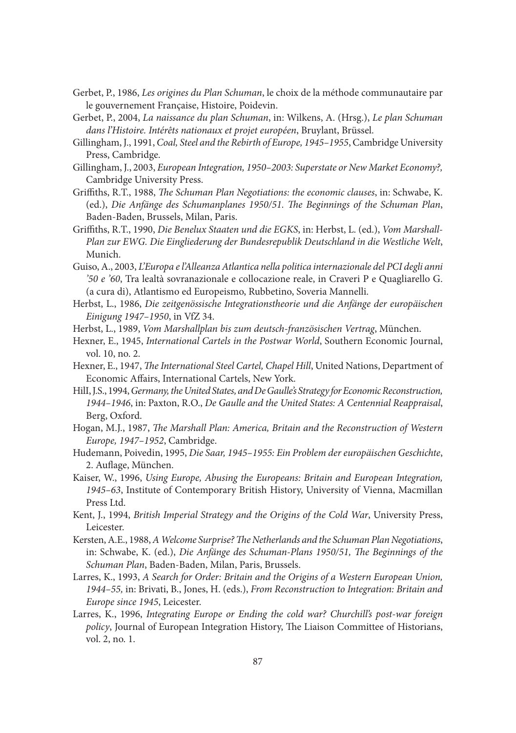- Gerbet, P., 1986, *Les origines du Plan Schuman*, le choix de la méthode communautaire par le gouvernement Française, Histoire, Poidevin.
- Gerbet, P., 2004, *La naissance du plan Schuman*, in: Wilkens, A. (Hrsg.), *Le plan Schuman dans l'Histoire. Intérêts nationaux et projet européen*, Bruylant, Brüssel.
- Gillingham, J., 1991, *Coal, Steel and the Rebirth of Europe, 1945–1955*, Cambridge University Press, Cambridge.
- Gillingham, J., 2003, *European Integration, 1950–2003: Superstate or New Market Economy?,* Cambridge University Press.
- Griffiths, R.T., 1988, *The Schuman Plan Negotiations: the economic clauses*, in: Schwabe, K. (ed.), *Die Anfänge des Schumanplanes 1950/51*. The Beginnings of the Schuman Plan, Baden-Baden, Brussels, Milan, Paris.
- Griffiths, R.T., 1990, Die Benelux Staaten und die EGKS, in: Herbst, L. (ed.), *Vom Marshall-Plan zur EWG. Die Eingliederung der Bundesrepublik Deutschland in die Westliche Welt*, Munich.
- Guiso, A., 2003, *L'Europa e l'Alleanza Atlantica nella politica internazionale del PCI degli anni '50 e '60*, Tra lealtà sovranazionale e collocazione reale, in Craveri P e Quagliarello G. (a cura di), Atlantismo ed Europeismo, Rubbetino, Soveria Mannelli.
- Herbst, L., 1986, *Die zeitgenössische Integrationstheorie und die Anfänge der europäischen Einigung 1947–1950*, in VfZ 34.
- Herbst, L., 1989, *Vom Marshallplan bis zum deutsch-französischen Vertrag*, München.
- Hexner, E., 1945, *International Cartels in the Postwar World*, Southern Economic Journal, vol. 10, no. 2.
- Hexner, E., 1947, *The International Steel Cartel, Chapel Hill*, United Nations, Department of Economic Affairs, International Cartels, New York.
- HilI, J.S., 1994, *Germany, the United States, and De Gaulle's Strategy for Economic Reconstruction, 1944–1946*, in: Paxton, R.O., *De Gaulle and the United States: A Centennial Reappraisal*, Berg, Oxford.
- Hogan, M.J., 1987, *The Marshall Plan: America, Britain and the Reconstruction of Western Europe, 1947–1952*, Cambridge.
- Hudemann, Poivedin, 1995, *Die Saar, 1945–1955: Ein Problem der europäischen Geschichte*, 2. Auflage, München.
- Kaiser, W., 1996, *Using Europe, Abusing the Europeans: Britain and European Integration, 1945–63*, Institute of Contemporary British History, University of Vienna, Macmillan Press Ltd.
- Kent, J., 1994, *British Imperial Strategy and the Origins of the Cold War*, University Press, Leicester.
- Kersten, A.E., 1988, *A Welcome Surprise? The Netherlands and the Schuman Plan Negotiations*, in: Schwabe, K. (ed.), *Die Anfänge des Schuman-Plans 1950/51*, *The Beginnings of the Schuman Plan*, Baden-Baden, Milan, Paris, Brussels.
- Larres, K., 1993, *A Search for Order: Britain and the Origins of a Western European Union, 1944–55,* in: Brivati, B., Jones, H. (eds.), *From Reconstruction to Integration: Britain and Europe since 1945*, Leicester.
- Larres, K., 1996, *Integrating Europe or Ending the cold war? Churchill's post-war foreign policy*, Journal of European Integration History, The Liaison Committee of Historians, vol. 2, no. 1.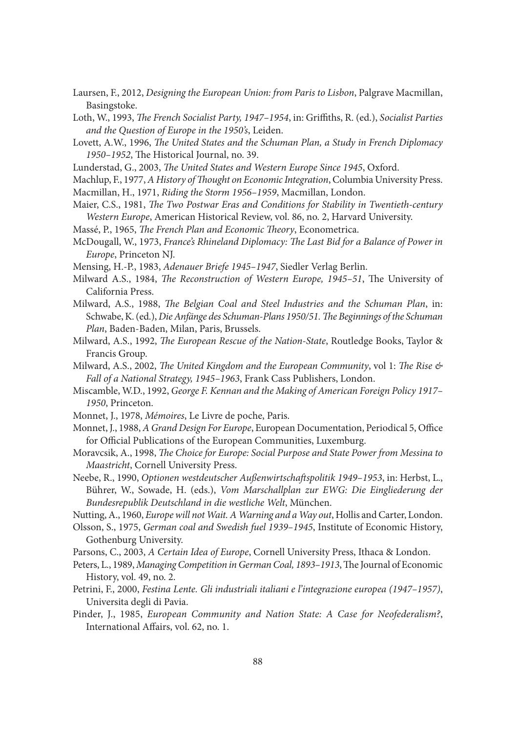Laursen, F., 2012, *Designing the European Union: from Paris to Lisbon*, Palgrave Macmillan, Basingstoke.

Loth, W., 1993, *The French Socialist Party, 1947-1954*, in: Griffiths, R. (ed.), *Socialist Parties and the Question of Europe in the 1950's*, Leiden.

Lovett, A.W., 1996, *The United States and the Schuman Plan, a Study in French Diplomacy* 1950–1952, The Historical Journal, no. 39.

Lunderstad, G., 2003, *The United States and Western Europe Since 1945*, Oxford.

Machlup, F., 1977, *A History of Thought on Economic Integration*, Columbia University Press.

Macmillan, H., 1971, *Riding the Storm 1956–1959*, Macmillan, London.

- Maier, C.S., 1981, *The Two Postwar Eras and Conditions for Stability in Twentieth-century Western Europe*, American Historical Review, vol. 86, no. 2, Harvard University.
- Massé, P., 1965, *The French Plan and Economic Theory*, Econometrica.
- McDougall, W., 1973, *France's Rhineland Diplomacy: The Last Bid for a Balance of Power in Europe*, Princeton NJ.
- Mensing, H.-P., 1983, *Adenauer Briefe 1945–1947*, Siedler Verlag Berlin.

Milward A.S., 1984, *The Reconstruction of Western Europe, 1945-51*, The University of California Press.

Milward, A.S., 1988, *The Belgian Coal and Steel Industries and the Schuman Plan*, in: Schwabe, K. (ed.), *Die Anfänge des Schuman-Plans 1950/51. The Beginnings of the Schuman Plan*, Baden-Baden, Milan, Paris, Brussels.

Milward, A.S., 1992, *The European Rescue of the Nation-State*, Routledge Books, Taylor & Francis Group.

- *Milward, A.S., 2002, The United Kingdom and the European Community, vol 1: The Rise*  $\&$ *Fall of a National Strategy, 1945–1963*, Frank Cass Publishers, London.
- Miscamble, W.D., 1992, *George F. Kennan and the Making of American Foreign Policy 1917– 1950*, Princeton.
- Monnet, J., 1978, *Mémoires*, Le Livre de poche, Paris.
- Monnet, J., 1988, *A Grand Design For Europe*, European Documentation, Periodical 5, Office for Official Publications of the European Communities, Luxemburg.
- Moravcsik, A., 1998, *The Choice for Europe: Social Purpose and State Power from Messina to Maastricht*, Cornell University Press.
- Neebe, R., 1990, *Optionen westdeutscher Außenwirtschaft spolitik 1949–1953*, in: Herbst, L., Bührer, W., Sowade, H. (eds.), *Vom Marschallplan zur EWG: Die Eingliederung der Bundesrepublik Deutschland in die westliche Welt*, München.

Nutting, A., 1960, *Europe will not Wait. A Warning and a Way out*, Hollis and Carter, London.

- Olsson, S., 1975, *German coal and Swedish fuel 1939–1945*, Institute of Economic History, Gothenburg University.
- Parsons, C., 2003, *A Certain Idea of Europe*, Cornell University Press, Ithaca & London.
- Peters, L., 1989, *Managing Competition in German Coal, 1893-1913*, The Journal of Economic History, vol. 49, no. 2.
- Petrini, F., 2000, *Festina Lente. Gli industriali italiani e l'integrazione europea (1947–1957)*, Universita degli di Pavia.
- Pinder, J., 1985, *European Community and Nation State: A Case for Neofederalism?*, International Affairs, vol. 62, no. 1.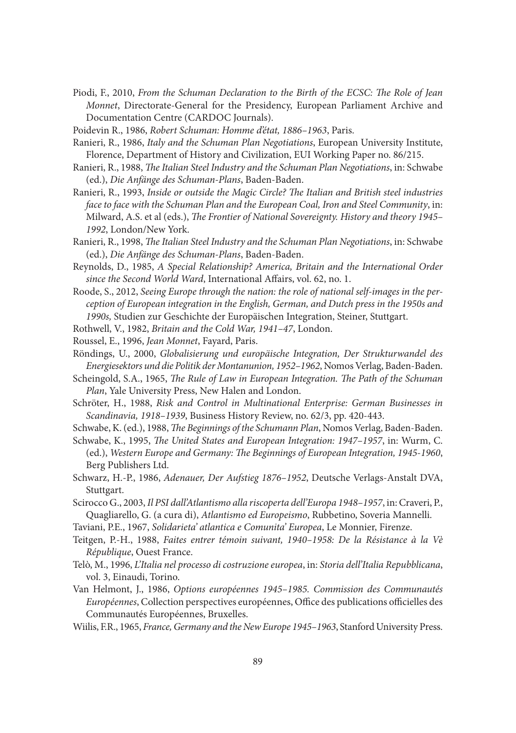- Piodi, F., 2010, *From the Schuman Declaration to the Birth of the ECSC: The Role of Jean Monnet*, Directorate-General for the Presidency, European Parliament Archive and Documentation Centre (CARDOC Journals).
- Poidevin R., 1986, *Robert Schuman: Homme d'état, 1886–1963*, Paris.
- Ranieri, R., 1986, *Italy and the Schuman Plan Negotiations*, European University Institute, Florence, Department of History and Civilization, EUI Working Paper no. 86/215.
- Ranieri, R., 1988, *The Italian Steel Industry and the Schuman Plan Negotiations*, in: Schwabe (ed.), *Die Anfänge des Schuman-Plans*, Baden-Baden.
- Ranieri, R., 1993, *Inside or outside the Magic Circle? The Italian and British steel industries face to face with the Schuman Plan and the European Coal, Iron and Steel Community*, in: Milward, A.S. et al (eds.), *The Frontier of National Sovereignty*. History and theory 1945– *1992*, London/New York.
- Ranieri, R., 1998, *The Italian Steel Industry and the Schuman Plan Negotiations*, in: Schwabe (ed.), *Die Anfänge des Schuman-Plans*, Baden-Baden.
- Reynolds, D., 1985, *A Special Relationship? America, Britain and the International Order*  since the Second World Ward, International Affairs, vol. 62, no. 1.
- Roode, S., 2012, *Seeing Europe through the nation: the role of national self-images in the perception of European integration in the English, German, and Dutch press in the 1950s and 1990s,* Studien zur Geschichte der Europäischen Integration, Steiner, Stuttgart.
- Rothwell, V., 1982, *Britain and the Cold War, 1941–47*, London.
- Roussel, E., 1996, *Jean Monnet*, Fayard, Paris.
- Röndings, U., 2000, *Globalisierung und europäische Integration, Der Strukturwandel des Energiesektors und die Politik der Montanunion, 1952–1962*, Nomos Verlag, Baden-Baden.
- Scheingold, S.A., 1965, *The Rule of Law in European Integration*. *The Path of the Schuman Plan*, Yale University Press, New Halen and London.
- Schröter, H., 1988, *Risk and Control in Multinational Enterprise: German Businesses in Scandinavia, 1918–1939*, Business History Review, no. 62/3, pp. 420-443.
- Schwabe, K. (ed.), 1988, *The Beginnings of the Schumann Plan*, Nomos Verlag, Baden-Baden.
- Schwabe, K., 1995, *The United States and European Integration: 1947-1957*, in: Wurm, C. (ed.), Western Europe and Germany: The Beginnings of European Integration, 1945-1960, Berg Publishers Ltd.
- Schwarz, H.-P., 1986, *Adenauer, Der Aufstieg 1876–1952*, Deutsche Verlags-Anstalt DVA, Stuttgart.
- Scirocco G., 2003, *Il PSI dall'Atlantismo alla riscoperta dell'Europa 1948–1957*, in: Craveri, P., Quagliarello, G. (a cura di), *Atlantismo ed Europeismo*, Rubbetino, Soveria Mannelli.
- Taviani, P.E., 1967, *Solidarieta' atlantica e Comunita' Europea*, Le Monnier, Firenze.
- Teitgen, P.-H., 1988, *Faites entrer témoin suivant, 1940–1958: De la Résistance à la Vè République*, Ouest France.
- Telò, M., 1996, *L'Italia nel processo di costruzione europea*, in: *Storia dell'Italia Repubblicana*, vol. 3, Einaudi, Torino.
- Van Helmont, J., 1986, *Options européennes 1945–1985. Commission des Communautés*  Européennes, Collection perspectives européennes, Office des publications officielles des Communautés Européennes, Bruxelles.
- Wiilis, F.R., 1965, *France, Germany and the New Europe 1945–1963*, Stanford University Press.